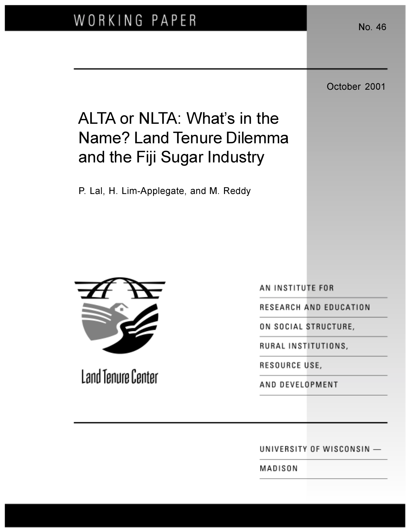October 2001

# ALTA or NLTA: What's in the **Name? Land Tenure Dilemma** and the Fiji Sugar Industry

P. Lal, H. Lim-Applegate, and M. Reddy



Land Tenure Center

AN INSTITUTE FOR

RESEARCH AND EDUCATION

ON SOCIAL STRUCTURE,

RURAL INSTITUTIONS,

RESOURCE USE,

AND DEVELOPMENT

UNIVERSITY OF WISCONSIN -

MADISON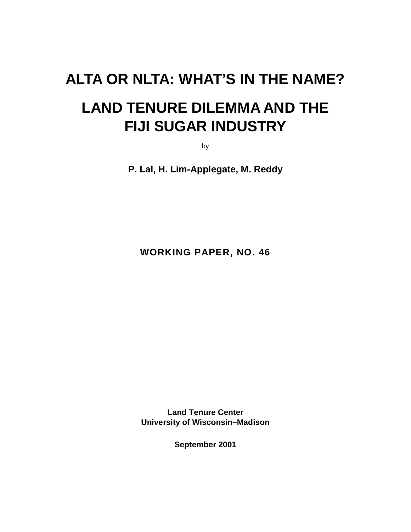# **ALTA OR NLTA: WHAT'S IN THE NAME?**

# **LAND TENURE DILEMMA AND THE FIJI SUGAR INDUSTRY**

by

**P. Lal, H. Lim-Applegate, M. Reddy**

**WORKING PAPER, NO. 46**

**Land Tenure Center University of Wisconsin–Madison**

**September 2001**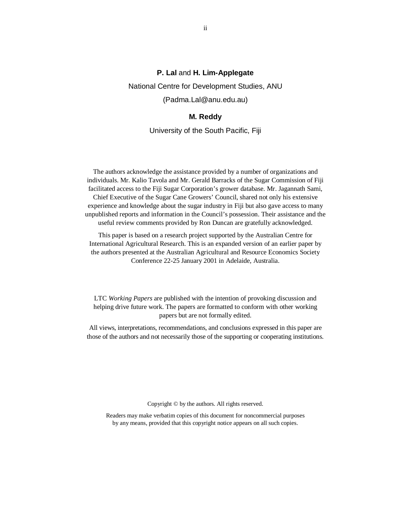#### **P. Lal** and **H. Lim-Applegate**

National Centre for Development Studies, ANU

(Padma.Lal@anu.edu.au)

#### **M. Reddy**

University of the South Pacific, Fiji

The authors acknowledge the assistance provided by a number of organizations and individuals. Mr. Kalio Tavola and Mr. Gerald Barracks of the Sugar Commission of Fiji facilitated access to the Fiji Sugar Corporation's grower database. Mr. Jagannath Sami, Chief Executive of the Sugar Cane Growers' Council, shared not only his extensive experience and knowledge about the sugar industry in Fiji but also gave access to many unpublished reports and information in the Council's possession. Their assistance and the useful review comments provided by Ron Duncan are gratefully acknowledged.

This paper is based on a research project supported by the Australian Centre for International Agricultural Research. This is an expanded version of an earlier paper by the authors presented at the Australian Agricultural and Resource Economics Society Conference 22-25 January 2001 in Adelaide, Australia.

LTC *Working Papers* are published with the intention of provoking discussion and helping drive future work. The papers are formatted to conform with other working papers but are not formally edited.

All views, interpretations, recommendations, and conclusions expressed in this paper are those of the authors and not necessarily those of the supporting or cooperating institutions.

Copyright © by the authors. All rights reserved.

Readers may make verbatim copies of this document for noncommercial purposes by any means, provided that this copyright notice appears on all such copies.

ii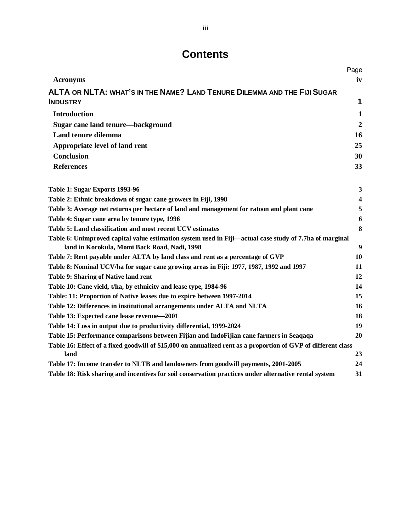# **Contents**

|                                                                                                               | Page                    |
|---------------------------------------------------------------------------------------------------------------|-------------------------|
| <b>Acronyms</b>                                                                                               | iv                      |
| ALTA OR NLTA: WHAT'S IN THE NAME? LAND TENURE DILEMMA AND THE FIJI SUGAR                                      |                         |
| <b>INDUSTRY</b>                                                                                               | 1                       |
| <b>Introduction</b>                                                                                           | $\mathbf{1}$            |
| Sugar cane land tenure—background                                                                             | $\boldsymbol{2}$        |
| Land tenure dilemma                                                                                           | 16                      |
| Appropriate level of land rent                                                                                | 25                      |
| <b>Conclusion</b>                                                                                             | 30                      |
| <b>References</b>                                                                                             | 33                      |
| Table 1: Sugar Exports 1993-96                                                                                | 3                       |
| Table 2: Ethnic breakdown of sugar cane growers in Fiji, 1998                                                 | $\overline{\mathbf{4}}$ |
| Table 3: Average net returns per hectare of land and management for ratoon and plant cane                     | 5                       |
| Table 4: Sugar cane area by tenure type, 1996                                                                 | 6                       |
| Table 5: Land classification and most recent UCV estimates                                                    | 8                       |
| Table 6: Unimproved capital value estimation system used in Fiji—actual case study of 7.7ha of marginal       |                         |
| land in Korokula, Momi Back Road, Nadi, 1998                                                                  | 9                       |
| Table 7: Rent payable under ALTA by land class and rent as a percentage of GVP                                | 10                      |
| Table 8: Nominal UCV/ha for sugar cane growing areas in Fiji: 1977, 1987, 1992 and 1997                       | 11                      |
| Table 9: Sharing of Native land rent                                                                          | 12                      |
| Table 10: Cane yield, t/ha, by ethnicity and lease type, 1984-96                                              | 14                      |
| Table: 11: Proportion of Native leases due to expire between 1997-2014                                        | 15                      |
| Table 12: Differences in institutional arrangements under ALTA and NLTA                                       | 16                      |
| Table 13: Expected cane lease revenue-2001                                                                    | 18                      |
| Table 14: Loss in output due to productivity differential, 1999-2024                                          | 19                      |
| Table 15: Performance comparisons between Fijian and IndoFijian cane farmers in Seaqaqa                       | 20                      |
| Table 16: Effect of a fixed goodwill of \$15,000 on annualized rent as a proportion of GVP of different class |                         |
| land                                                                                                          | 23                      |
| Table 17: Income transfer to NLTB and landowners from goodwill payments, 2001-2005                            | 24                      |
| Table 18: Risk sharing and incentives for soil conservation practices under alternative rental system         | 31                      |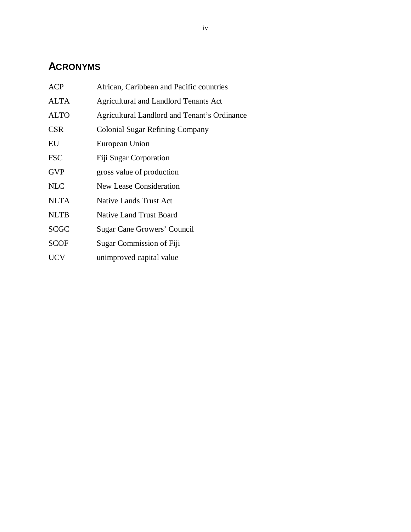# **ACRONYMS**

| African, Caribbean and Pacific countries     |
|----------------------------------------------|
| <b>Agricultural and Landlord Tenants Act</b> |
| Agricultural Landlord and Tenant's Ordinance |
| <b>Colonial Sugar Refining Company</b>       |
| European Union                               |
| Fiji Sugar Corporation                       |
| gross value of production                    |
| <b>New Lease Consideration</b>               |
| <b>Native Lands Trust Act</b>                |
| <b>Native Land Trust Board</b>               |
| Sugar Cane Growers' Council                  |
| Sugar Commission of Fiji                     |
| unimproved capital value                     |
|                                              |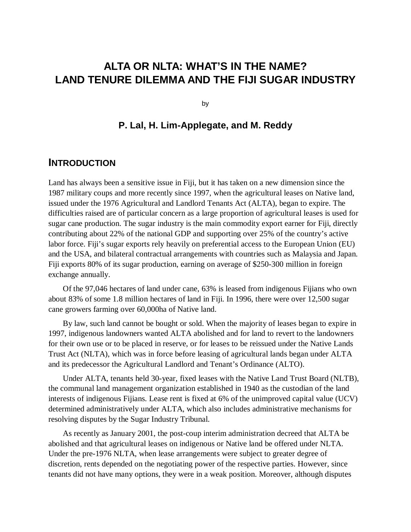# **ALTA OR NLTA: WHAT'S IN THE NAME? LAND TENURE DILEMMA AND THE FIJI SUGAR INDUSTRY**

by

# **P. Lal, H. Lim-Applegate, and M. Reddy**

## **INTRODUCTION**

Land has always been a sensitive issue in Fiji, but it has taken on a new dimension since the 1987 military coups and more recently since 1997, when the agricultural leases on Native land, issued under the 1976 Agricultural and Landlord Tenants Act (ALTA), began to expire. The difficulties raised are of particular concern as a large proportion of agricultural leases is used for sugar cane production. The sugar industry is the main commodity export earner for Fiji, directly contributing about 22% of the national GDP and supporting over 25% of the country's active labor force. Fiji's sugar exports rely heavily on preferential access to the European Union (EU) and the USA, and bilateral contractual arrangements with countries such as Malaysia and Japan. Fiji exports 80% of its sugar production, earning on average of \$250-300 million in foreign exchange annually.

Of the 97,046 hectares of land under cane, 63% is leased from indigenous Fijians who own about 83% of some 1.8 million hectares of land in Fiji. In 1996, there were over 12,500 sugar cane growers farming over 60,000ha of Native land.

By law, such land cannot be bought or sold. When the majority of leases began to expire in 1997, indigenous landowners wanted ALTA abolished and for land to revert to the landowners for their own use or to be placed in reserve, or for leases to be reissued under the Native Lands Trust Act (NLTA), which was in force before leasing of agricultural lands began under ALTA and its predecessor the Agricultural Landlord and Tenant's Ordinance (ALTO).

Under ALTA, tenants held 30-year, fixed leases with the Native Land Trust Board (NLTB), the communal land management organization established in 1940 as the custodian of the land interests of indigenous Fijians. Lease rent is fixed at 6% of the unimproved capital value (UCV) determined administratively under ALTA, which also includes administrative mechanisms for resolving disputes by the Sugar Industry Tribunal.

As recently as January 2001, the post-coup interim administration decreed that ALTA be abolished and that agricultural leases on indigenous or Native land be offered under NLTA. Under the pre-1976 NLTA, when lease arrangements were subject to greater degree of discretion, rents depended on the negotiating power of the respective parties. However, since tenants did not have many options, they were in a weak position. Moreover, although disputes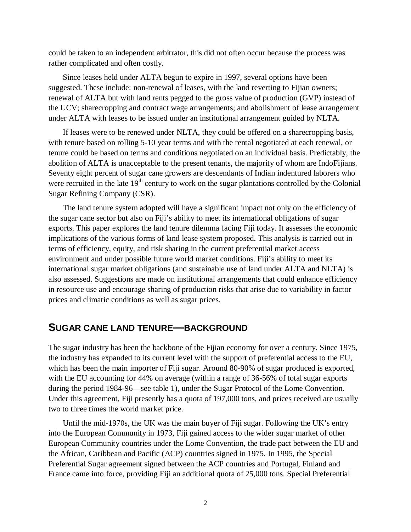could be taken to an independent arbitrator, this did not often occur because the process was rather complicated and often costly.

Since leases held under ALTA begun to expire in 1997, several options have been suggested. These include: non-renewal of leases, with the land reverting to Fijian owners; renewal of ALTA but with land rents pegged to the gross value of production (GVP) instead of the UCV; sharecropping and contract wage arrangements; and abolishment of lease arrangement under ALTA with leases to be issued under an institutional arrangement guided by NLTA.

If leases were to be renewed under NLTA, they could be offered on a sharecropping basis, with tenure based on rolling 5-10 year terms and with the rental negotiated at each renewal, or tenure could be based on terms and conditions negotiated on an individual basis. Predictably, the abolition of ALTA is unacceptable to the present tenants, the majority of whom are IndoFijians. Seventy eight percent of sugar cane growers are descendants of Indian indentured laborers who were recruited in the late  $19<sup>th</sup>$  century to work on the sugar plantations controlled by the Colonial Sugar Refining Company (CSR).

The land tenure system adopted will have a significant impact not only on the efficiency of the sugar cane sector but also on Fiji's ability to meet its international obligations of sugar exports. This paper explores the land tenure dilemma facing Fiji today. It assesses the economic implications of the various forms of land lease system proposed. This analysis is carried out in terms of efficiency, equity, and risk sharing in the current preferential market access environment and under possible future world market conditions. Fiji's ability to meet its international sugar market obligations (and sustainable use of land under ALTA and NLTA) is also assessed. Suggestions are made on institutional arrangements that could enhance efficiency in resource use and encourage sharing of production risks that arise due to variability in factor prices and climatic conditions as well as sugar prices.

# **SUGAR CANE LAND TENURE—BACKGROUND**

The sugar industry has been the backbone of the Fijian economy for over a century. Since 1975, the industry has expanded to its current level with the support of preferential access to the EU, which has been the main importer of Fiji sugar. Around 80-90% of sugar produced is exported, with the EU accounting for 44% on average (within a range of 36-56% of total sugar exports during the period 1984-96—see table 1), under the Sugar Protocol of the Lome Convention. Under this agreement, Fiji presently has a quota of 197,000 tons, and prices received are usually two to three times the world market price.

Until the mid-1970s, the UK was the main buyer of Fiji sugar. Following the UK's entry into the European Community in 1973, Fiji gained access to the wider sugar market of other European Community countries under the Lome Convention, the trade pact between the EU and the African, Caribbean and Pacific (ACP) countries signed in 1975. In 1995, the Special Preferential Sugar agreement signed between the ACP countries and Portugal, Finland and France came into force, providing Fiji an additional quota of 25,000 tons. Special Preferential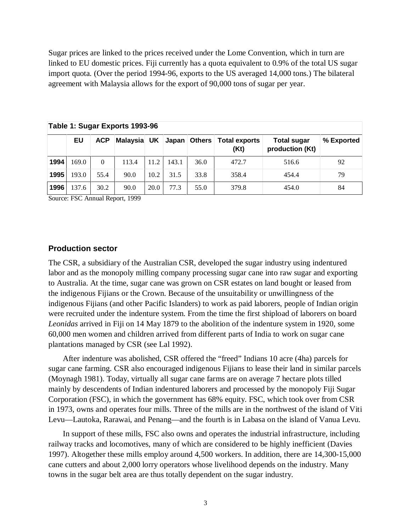Sugar prices are linked to the prices received under the Lome Convention, which in turn are linked to EU domestic prices. Fiji currently has a quota equivalent to 0.9% of the total US sugar import quota. (Over the period 1994-96, exports to the US averaged 14,000 tons.) The bilateral agreement with Malaysia allows for the export of 90,000 tons of sugar per year.

|      | Table 1: Sugar Exports 1993-96 |            |          |      |       |                |                              |                                       |            |  |
|------|--------------------------------|------------|----------|------|-------|----------------|------------------------------|---------------------------------------|------------|--|
|      | EU                             | <b>ACP</b> | Malaysia | UK   |       | Japan   Others | <b>Total exports</b><br>(Kt) | <b>Total sugar</b><br>production (Kt) | % Exported |  |
| 1994 | 169.0                          | 0          | 113.4    | 11.2 | 143.1 | 36.0           | 472.7                        | 516.6                                 | 92         |  |
| 1995 | 193.0                          | 55.4       | 90.0     | 10.2 | 31.5  | 33.8           | 358.4                        | 454.4                                 | 79         |  |
| 1996 | 137.6                          | 30.2       | 90.0     | 20.0 | 77.3  | 55.0           | 379.8                        | 454.0                                 | 84         |  |

**Table 1: Sugar Exports 1993-96**

Source: FSC Annual Report, 1999

### **Production sector**

The CSR, a subsidiary of the Australian CSR, developed the sugar industry using indentured labor and as the monopoly milling company processing sugar cane into raw sugar and exporting to Australia. At the time, sugar cane was grown on CSR estates on land bought or leased from the indigenous Fijians or the Crown. Because of the unsuitability or unwillingness of the indigenous Fijians (and other Pacific Islanders) to work as paid laborers, people of Indian origin were recruited under the indenture system. From the time the first shipload of laborers on board *Leonidas* arrived in Fiji on 14 May 1879 to the abolition of the indenture system in 1920, some 60,000 men women and children arrived from different parts of India to work on sugar cane plantations managed by CSR (see Lal 1992).

After indenture was abolished, CSR offered the "freed" Indians 10 acre (4ha) parcels for sugar cane farming. CSR also encouraged indigenous Fijians to lease their land in similar parcels (Moynagh 1981). Today, virtually all sugar cane farms are on average 7 hectare plots tilled mainly by descendents of Indian indentured laborers and processed by the monopoly Fiji Sugar Corporation (FSC), in which the government has 68% equity. FSC, which took over from CSR in 1973, owns and operates four mills. Three of the mills are in the northwest of the island of Viti Levu—Lautoka, Rarawai, and Penang—and the fourth is in Labasa on the island of Vanua Levu.

In support of these mills, FSC also owns and operates the industrial infrastructure, including railway tracks and locomotives, many of which are considered to be highly inefficient (Davies 1997). Altogether these mills employ around 4,500 workers. In addition, there are 14,300-15,000 cane cutters and about 2,000 lorry operators whose livelihood depends on the industry. Many towns in the sugar belt area are thus totally dependent on the sugar industry.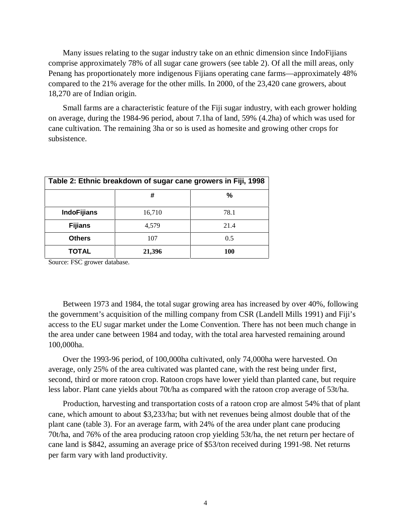Many issues relating to the sugar industry take on an ethnic dimension since IndoFijians comprise approximately 78% of all sugar cane growers (see table 2). Of all the mill areas, only Penang has proportionately more indigenous Fijians operating cane farms—approximately 48% compared to the 21% average for the other mills. In 2000, of the 23,420 cane growers, about 18,270 are of Indian origin.

Small farms are a characteristic feature of the Fiji sugar industry, with each grower holding on average, during the 1984-96 period, about 7.1ha of land, 59% (4.2ha) of which was used for cane cultivation. The remaining 3ha or so is used as homesite and growing other crops for subsistence.

| Table 2: Ethnic breakdown of sugar cane growers in Fiji, 1998 |        |      |  |  |  |  |
|---------------------------------------------------------------|--------|------|--|--|--|--|
|                                                               | #      | %    |  |  |  |  |
| <b>IndoFijians</b>                                            | 16,710 | 78.1 |  |  |  |  |
| <b>Fijians</b>                                                | 4,579  | 21.4 |  |  |  |  |
| <b>Others</b>                                                 | 107    | 0.5  |  |  |  |  |
| TOTAL                                                         | 21,396 | 100  |  |  |  |  |

Source: FSC grower database.

Between 1973 and 1984, the total sugar growing area has increased by over 40%, following the government's acquisition of the milling company from CSR (Landell Mills 1991) and Fiji's access to the EU sugar market under the Lome Convention. There has not been much change in the area under cane between 1984 and today, with the total area harvested remaining around 100,000ha.

Over the 1993-96 period, of 100,000ha cultivated, only 74,000ha were harvested. On average, only 25% of the area cultivated was planted cane, with the rest being under first, second, third or more ratoon crop. Ratoon crops have lower yield than planted cane, but require less labor. Plant cane yields about 70t/ha as compared with the ratoon crop average of 53t/ha.

Production, harvesting and transportation costs of a ratoon crop are almost 54% that of plant cane, which amount to about \$3,233/ha; but with net revenues being almost double that of the plant cane (table 3). For an average farm, with 24% of the area under plant cane producing 70t/ha, and 76% of the area producing ratoon crop yielding 53t/ha, the net return per hectare of cane land is \$842, assuming an average price of \$53/ton received during 1991-98. Net returns per farm vary with land productivity.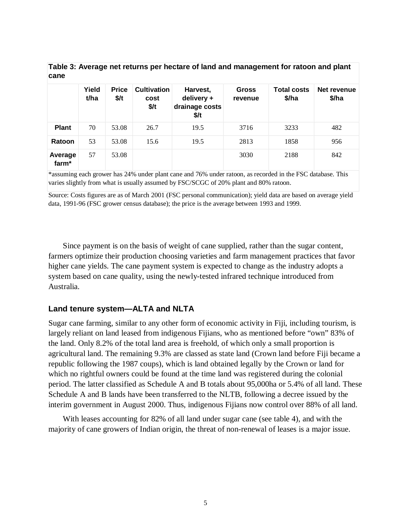| cane             |               |                        |                                    |                                                  |                         |                             |                      |  |  |
|------------------|---------------|------------------------|------------------------------------|--------------------------------------------------|-------------------------|-----------------------------|----------------------|--|--|
|                  | Yield<br>t/ha | <b>Price</b><br>$$$ /t | <b>Cultivation</b><br>cost<br>\$/t | Harvest,<br>delivery +<br>drainage costs<br>\$/t | <b>Gross</b><br>revenue | <b>Total costs</b><br>\$/ha | Net revenue<br>\$/ha |  |  |
| <b>Plant</b>     | 70            | 53.08                  | 26.7                               | 19.5                                             | 3716                    | 3233                        | 482                  |  |  |
| Ratoon           | 53            | 53.08                  | 15.6                               | 19.5                                             | 2813                    | 1858                        | 956                  |  |  |
| Average<br>farm* | 57            | 53.08                  |                                    |                                                  | 3030                    | 2188                        | 842                  |  |  |

**Table 3: Average net returns per hectare of land and management for ratoon and plant**

\*assuming each grower has 24% under plant cane and 76% under ratoon, as recorded in the FSC database. This varies slightly from what is usually assumed by FSC/SCGC of 20% plant and 80% ratoon.

Source: Costs figures are as of March 2001 (FSC personal communication); yield data are based on average yield data, 1991-96 (FSC grower census database); the price is the average between 1993 and 1999.

Since payment is on the basis of weight of cane supplied, rather than the sugar content, farmers optimize their production choosing varieties and farm management practices that favor higher cane yields. The cane payment system is expected to change as the industry adopts a system based on cane quality, using the newly-tested infrared technique introduced from Australia.

### **Land tenure system—ALTA and NLTA**

Sugar cane farming, similar to any other form of economic activity in Fiji, including tourism, is largely reliant on land leased from indigenous Fijians, who as mentioned before "own" 83% of the land. Only 8.2% of the total land area is freehold, of which only a small proportion is agricultural land. The remaining 9.3% are classed as state land (Crown land before Fiji became a republic following the 1987 coups), which is land obtained legally by the Crown or land for which no rightful owners could be found at the time land was registered during the colonial period. The latter classified as Schedule A and B totals about 95,000ha or 5.4% of all land. These Schedule A and B lands have been transferred to the NLTB, following a decree issued by the interim government in August 2000. Thus, indigenous Fijians now control over 88% of all land.

With leases accounting for 82% of all land under sugar cane (see table 4), and with the majority of cane growers of Indian origin, the threat of non-renewal of leases is a major issue.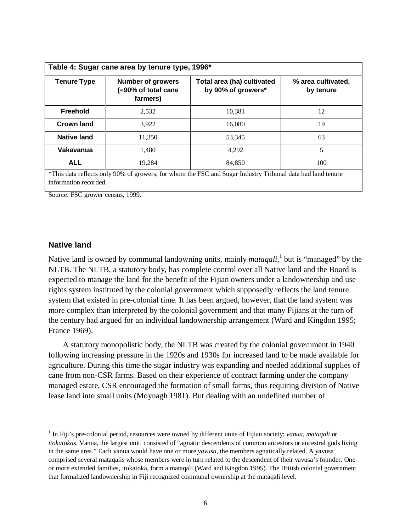| <b>Tenure Type</b> | <b>Number of growers</b><br>(=90% of total cane<br>farmers) | Total area (ha) cultivated<br>by 90% of growers* | % area cultivated,<br>by tenure |
|--------------------|-------------------------------------------------------------|--------------------------------------------------|---------------------------------|
| Freehold           | 2,532                                                       | 10,381                                           | 12                              |
| <b>Crown land</b>  | 3,922                                                       | 16.080                                           | 19                              |
| <b>Native land</b> | 11.350                                                      | 53.345                                           | 63                              |
| Vakavanua          | 1.480                                                       | 4.292                                            | 5                               |
| <b>ALL</b>         | 19.284                                                      | 84.850                                           | 100                             |

Source: FSC grower census, 1999.

#### **Native land**

Native land is owned by communal landowning units, mainly *mataqali*,<sup>1</sup> but is "managed" by the NLTB. The NLTB, a statutory body, has complete control over all Native land and the Board is expected to manage the land for the benefit of the Fijian owners under a landownership and use rights system instituted by the colonial government which supposedly reflects the land tenure system that existed in pre-colonial time. It has been argued, however, that the land system was more complex than interpreted by the colonial government and that many Fijians at the turn of the century had argued for an individual landownership arrangement (Ward and Kingdon 1995; France 1969).

A statutory monopolistic body, the NLTB was created by the colonial government in 1940 following increasing pressure in the 1920s and 1930s for increased land to be made available for agriculture. During this time the sugar industry was expanding and needed additional supplies of cane from non-CSR farms. Based on their experience of contract farming under the company managed estate, CSR encouraged the formation of small farms, thus requiring division of Native lease land into small units (Moynagh 1981). But dealing with an undefined number of

<sup>1</sup> In Fiji's pre-colonial period, resources were owned by different units of Fijian society: *vanua*, *mataqali* or *itokatokas*. Vanua, the largest unit, consisted of "agnatic descendents of common ancestors or ancestral gods living in the same area." Each vanua would have one or more *yavusa*, the members agnatically related. A yavusa comprised several mataqalis whose members were in turn related to the descendent of their yavusa's founder. One or more extended families, itokatoka, form a mataqali (Ward and Kingdon 1995). The British colonial government that formalized landownership in Fiji recognized communal ownership at the mataqali level.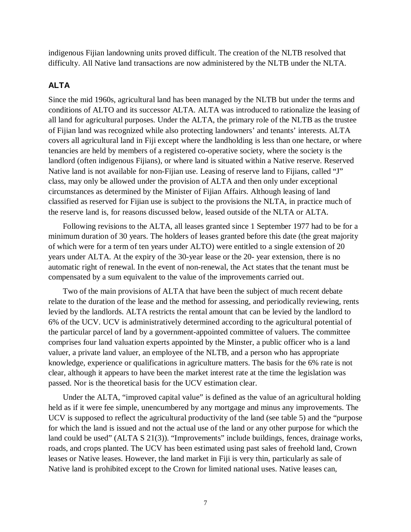indigenous Fijian landowning units proved difficult. The creation of the NLTB resolved that difficulty. All Native land transactions are now administered by the NLTB under the NLTA.

### **ALTA**

Since the mid 1960s, agricultural land has been managed by the NLTB but under the terms and conditions of ALTO and its successor ALTA. ALTA was introduced to rationalize the leasing of all land for agricultural purposes. Under the ALTA, the primary role of the NLTB as the trustee of Fijian land was recognized while also protecting landowners' and tenants' interests. ALTA covers all agricultural land in Fiji except where the landholding is less than one hectare, or where tenancies are held by members of a registered co-operative society, where the society is the landlord (often indigenous Fijians), or where land is situated within a Native reserve. Reserved Native land is not available for non-Fijian use. Leasing of reserve land to Fijians, called "J" class, may only be allowed under the provision of ALTA and then only under exceptional circumstances as determined by the Minister of Fijian Affairs. Although leasing of land classified as reserved for Fijian use is subject to the provisions the NLTA, in practice much of the reserve land is, for reasons discussed below, leased outside of the NLTA or ALTA.

Following revisions to the ALTA, all leases granted since 1 September 1977 had to be for a minimum duration of 30 years. The holders of leases granted before this date (the great majority of which were for a term of ten years under ALTO) were entitled to a single extension of 20 years under ALTA. At the expiry of the 30-year lease or the 20- year extension, there is no automatic right of renewal. In the event of non-renewal, the Act states that the tenant must be compensated by a sum equivalent to the value of the improvements carried out.

Two of the main provisions of ALTA that have been the subject of much recent debate relate to the duration of the lease and the method for assessing, and periodically reviewing, rents levied by the landlords. ALTA restricts the rental amount that can be levied by the landlord to 6% of the UCV. UCV is administratively determined according to the agricultural potential of the particular parcel of land by a government-appointed committee of valuers. The committee comprises four land valuation experts appointed by the Minster, a public officer who is a land valuer, a private land valuer, an employee of the NLTB, and a person who has appropriate knowledge, experience or qualifications in agriculture matters. The basis for the 6% rate is not clear, although it appears to have been the market interest rate at the time the legislation was passed. Nor is the theoretical basis for the UCV estimation clear.

Under the ALTA, "improved capital value" is defined as the value of an agricultural holding held as if it were fee simple, unencumbered by any mortgage and minus any improvements. The UCV is supposed to reflect the agricultural productivity of the land (see table 5) and the "purpose for which the land is issued and not the actual use of the land or any other purpose for which the land could be used" (ALTA S 21(3)). "Improvements" include buildings, fences, drainage works, roads, and crops planted. The UCV has been estimated using past sales of freehold land, Crown leases or Native leases. However, the land market in Fiji is very thin, particularly as sale of Native land is prohibited except to the Crown for limited national uses. Native leases can,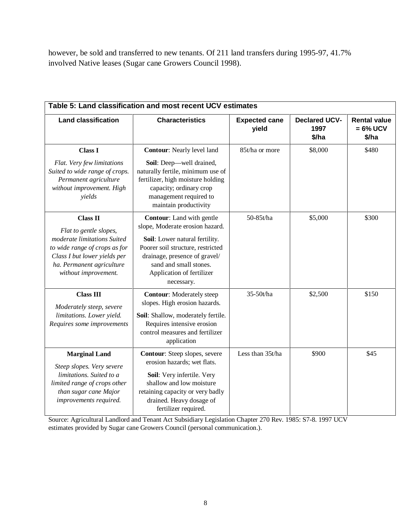however, be sold and transferred to new tenants. Of 211 land transfers during 1995-97, 41.7% involved Native leases (Sugar cane Growers Council 1998).

| Table 5: Land classification and most recent UCV estimates                                                                                                                                                                                                                                                                                                                         |                                                                                                                                                                                                                                                  |                               |                                       |                                             |  |  |  |
|------------------------------------------------------------------------------------------------------------------------------------------------------------------------------------------------------------------------------------------------------------------------------------------------------------------------------------------------------------------------------------|--------------------------------------------------------------------------------------------------------------------------------------------------------------------------------------------------------------------------------------------------|-------------------------------|---------------------------------------|---------------------------------------------|--|--|--|
| <b>Land classification</b>                                                                                                                                                                                                                                                                                                                                                         | <b>Characteristics</b>                                                                                                                                                                                                                           | <b>Expected cane</b><br>yield | <b>Declared UCV-</b><br>1997<br>\$/ha | <b>Rental value</b><br>$= 6\%$ UCV<br>\$/ha |  |  |  |
| <b>Class I</b><br>Flat. Very few limitations<br>Suited to wide range of crops.<br>Permanent agriculture<br>without improvement. High<br>yields                                                                                                                                                                                                                                     | <b>Contour:</b> Nearly level land<br>Soil: Deep—well drained,<br>naturally fertile, minimum use of<br>fertilizer, high moisture holding<br>capacity; ordinary crop<br>management required to<br>maintain productivity                            | 85t/ha or more                | \$8,000                               | \$480                                       |  |  |  |
| <b>Class II</b><br>Flat to gentle slopes,<br>moderate limitations Suited<br>to wide range of crops as for<br>Class I but lower yields per<br>ha. Permanent agriculture<br>without improvement.                                                                                                                                                                                     | <b>Contour:</b> Land with gentle<br>slope, Moderate erosion hazard.<br>Soil: Lower natural fertility.<br>Poorer soil structure, restricted<br>drainage, presence of gravel/<br>sand and small stones.<br>Application of fertilizer<br>necessary. | 50-85t/ha                     | \$5,000                               | \$300                                       |  |  |  |
| <b>Class III</b><br>Moderately steep, severe<br>limitations. Lower yield.<br>Requires some improvements                                                                                                                                                                                                                                                                            | <b>Contour:</b> Moderately steep<br>slopes. High erosion hazards.<br>Soil: Shallow, moderately fertile.<br>Requires intensive erosion<br>control measures and fertilizer<br>application                                                          | 35-50t/ha                     | \$2,500                               | \$150                                       |  |  |  |
| Contour: Steep slopes, severe<br><b>Marginal Land</b><br>erosion hazards; wet flats.<br>Steep slopes. Very severe<br>limitations. Suited to a<br>Soil: Very infertile. Very<br>shallow and low moisture<br>limited range of crops other<br>retaining capacity or very badly<br>than sugar cane Major<br>drained. Heavy dosage of<br>improvements required.<br>fertilizer required. |                                                                                                                                                                                                                                                  | Less than 35t/ha              | \$900                                 | \$45                                        |  |  |  |

Source: Agricultural Landlord and Tenant Act Subsidiary Legislation Chapter 270 Rev. 1985: S7-8. 1997 UCV estimates provided by Sugar cane Growers Council (personal communication.).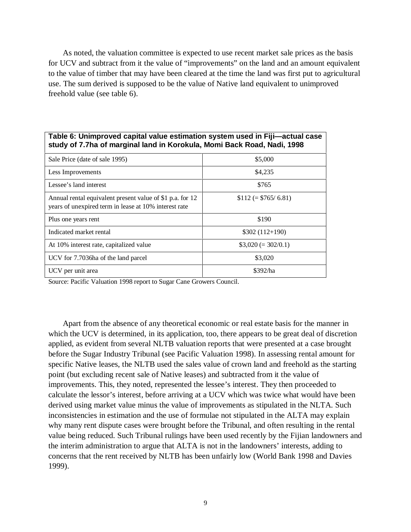As noted, the valuation committee is expected to use recent market sale prices as the basis for UCV and subtract from it the value of "improvements" on the land and an amount equivalent to the value of timber that may have been cleared at the time the land was first put to agricultural use. The sum derived is supposed to be the value of Native land equivalent to unimproved freehold value (see table 6).

| study of 7.7ha of marginal land in Korokula, Momi Back Road, Nadi, 1998                                            |                      |  |  |  |  |  |
|--------------------------------------------------------------------------------------------------------------------|----------------------|--|--|--|--|--|
| Sale Price (date of sale 1995)                                                                                     | \$5,000              |  |  |  |  |  |
| Less Improvements                                                                                                  | \$4,235              |  |  |  |  |  |
| Lessee's land interest                                                                                             | \$765                |  |  |  |  |  |
| Annual rental equivalent present value of \$1 p.a. for 12<br>years of unexpired term in lease at 10% interest rate | $$112 (= $765/6.81)$ |  |  |  |  |  |
| Plus one years rent                                                                                                | \$190                |  |  |  |  |  |
| Indicated market rental                                                                                            | $$302(112+190)$      |  |  |  |  |  |
| At 10% interest rate, capitalized value                                                                            | $$3,020 (= 302/0.1)$ |  |  |  |  |  |
| UCV for 7.7036ha of the land parcel                                                                                | \$3,020              |  |  |  |  |  |
| UCV per unit area                                                                                                  | \$392/ha             |  |  |  |  |  |

**Table 6: Unimproved capital value estimation system used in Fiji—actual case**

Source: Pacific Valuation 1998 report to Sugar Cane Growers Council.

Apart from the absence of any theoretical economic or real estate basis for the manner in which the UCV is determined, in its application, too, there appears to be great deal of discretion applied, as evident from several NLTB valuation reports that were presented at a case brought before the Sugar Industry Tribunal (see Pacific Valuation 1998). In assessing rental amount for specific Native leases, the NLTB used the sales value of crown land and freehold as the starting point (but excluding recent sale of Native leases) and subtracted from it the value of improvements. This, they noted, represented the lessee's interest. They then proceeded to calculate the lessor's interest, before arriving at a UCV which was twice what would have been derived using market value minus the value of improvements as stipulated in the NLTA. Such inconsistencies in estimation and the use of formulae not stipulated in the ALTA may explain why many rent dispute cases were brought before the Tribunal, and often resulting in the rental value being reduced. Such Tribunal rulings have been used recently by the Fijian landowners and the interim administration to argue that ALTA is not in the landowners' interests, adding to concerns that the rent received by NLTB has been unfairly low (World Bank 1998 and Davies 1999).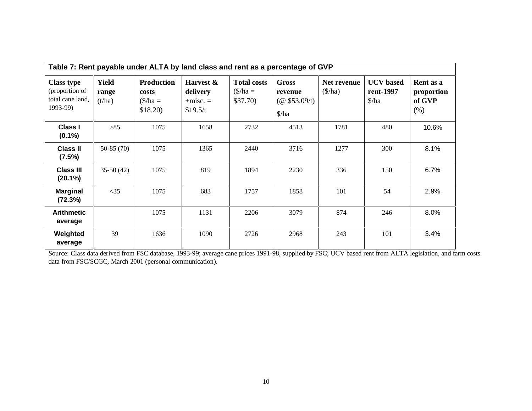| Table 7: Rent payable under ALTA by land class and rent as a percentage of GVP |                                 |                                                                    |                                                 |                                                         |                                                                                  |                                  |                                                  |                                           |
|--------------------------------------------------------------------------------|---------------------------------|--------------------------------------------------------------------|-------------------------------------------------|---------------------------------------------------------|----------------------------------------------------------------------------------|----------------------------------|--------------------------------------------------|-------------------------------------------|
| <b>Class type</b><br>(proportion of<br>total cane land,<br>1993-99)            | <b>Yield</b><br>range<br>(t/ha) | <b>Production</b><br>costs<br>$(\frac{\pi}{3})$ ha =<br>$$18.20$ ) | Harvest &<br>delivery<br>$+misc. =$<br>\$19.5/t | <b>Total costs</b><br>$(\frac{\pi}{3})$ ha =<br>\$37.70 | <b>Gross</b><br>revenue<br>$(\omega$ \$53.09/t)<br>$\frac{\text{}}{\text{}}$ /ha | Net revenue<br>$(\frac{\pi}{a})$ | <b>UCV</b> based<br>rent-1997<br>$\frac{\pi}{4}$ | Rent as a<br>proportion<br>of GVP<br>(% ) |
| <b>Class I</b><br>$(0.1\%)$                                                    | $>85$                           | 1075                                                               | 1658                                            | 2732                                                    | 4513                                                                             | 1781                             | 480                                              | 10.6%                                     |
| <b>Class II</b><br>(7.5%)                                                      | $50-85(70)$                     | 1075                                                               | 1365                                            | 2440                                                    | 3716                                                                             | 1277                             | 300                                              | 8.1%                                      |
| <b>Class III</b><br>$(20.1\%)$                                                 | $35-50(42)$                     | 1075                                                               | 819                                             | 1894                                                    | 2230                                                                             | 336                              | 150                                              | 6.7%                                      |
| <b>Marginal</b><br>(72.3%)                                                     | $<$ 35                          | 1075                                                               | 683                                             | 1757                                                    | 1858                                                                             | 101                              | 54                                               | 2.9%                                      |
| <b>Arithmetic</b><br>average                                                   |                                 | 1075                                                               | 1131                                            | 2206                                                    | 3079                                                                             | 874                              | 246                                              | 8.0%                                      |
| Weighted<br>average                                                            | 39                              | 1636                                                               | 1090                                            | 2726                                                    | 2968                                                                             | 243                              | 101                                              | 3.4%                                      |

Source: Class data derived from FSC database, 1993-99; average cane prices 1991-98, supplied by FSC; UCV based rent from ALTA legislation, and farm costs data from FSC/SCGC, March 2001 (personal communication).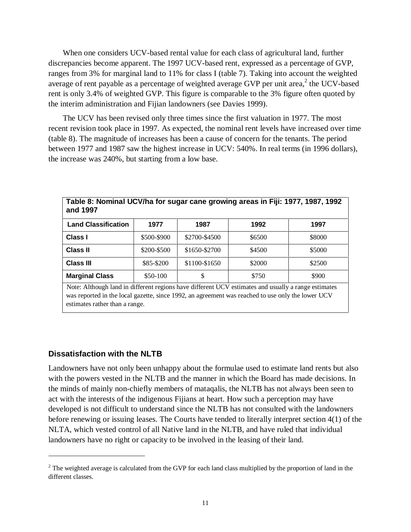When one considers UCV-based rental value for each class of agricultural land, further discrepancies become apparent. The 1997 UCV-based rent, expressed as a percentage of GVP, ranges from 3% for marginal land to 11% for class I (table 7). Taking into account the weighted average of rent payable as a percentage of weighted average GVP per unit area, $^2$  the UCV-based rent is only 3.4% of weighted GVP. This figure is comparable to the 3% figure often quoted by the interim administration and Fijian landowners (see Davies 1999).

The UCV has been revised only three times since the first valuation in 1977. The most recent revision took place in 1997. As expected, the nominal rent levels have increased over time (table 8). The magnitude of increases has been a cause of concern for the tenants. The period between 1977 and 1987 saw the highest increase in UCV: 540%. In real terms (in 1996 dollars), the increase was 240%, but starting from a low base.

| Table 8: Nominal UCV/ha for sugar cane growing areas in Fiji: 1977, 1987, 1992<br>and 1997                                                                                                                                                 |             |               |        |        |  |  |  |
|--------------------------------------------------------------------------------------------------------------------------------------------------------------------------------------------------------------------------------------------|-------------|---------------|--------|--------|--|--|--|
| <b>Land Classification</b>                                                                                                                                                                                                                 | 1977        | 1987          | 1992   | 1997   |  |  |  |
| Class I                                                                                                                                                                                                                                    | \$500-\$900 | \$2700-\$4500 | \$6500 | \$8000 |  |  |  |
| <b>Class II</b>                                                                                                                                                                                                                            | \$200-\$500 | \$1650-\$2700 | \$4500 | \$5000 |  |  |  |
| <b>Class III</b>                                                                                                                                                                                                                           | \$85-\$200  | \$1100-\$1650 | \$2000 | \$2500 |  |  |  |
| <b>Marginal Class</b>                                                                                                                                                                                                                      | $$50-100$   | \$            | \$750  | \$900  |  |  |  |
| Note: Although land in different regions have different UCV estimates and usually a range estimates<br>was reported in the local gazette, since 1992, an agreement was reached to use only the lower UCV<br>estimates rather than a range. |             |               |        |        |  |  |  |

### **Dissatisfaction with the NLTB**

 $\overline{a}$ 

Landowners have not only been unhappy about the formulae used to estimate land rents but also with the powers vested in the NLTB and the manner in which the Board has made decisions. In the minds of mainly non-chiefly members of mataqalis, the NLTB has not always been seen to act with the interests of the indigenous Fijians at heart. How such a perception may have developed is not difficult to understand since the NLTB has not consulted with the landowners before renewing or issuing leases. The Courts have tended to literally interpret section 4(1) of the NLTA, which vested control of all Native land in the NLTB, and have ruled that individual landowners have no right or capacity to be involved in the leasing of their land.

 $2<sup>2</sup>$  The weighted average is calculated from the GVP for each land class multiplied by the proportion of land in the different classes.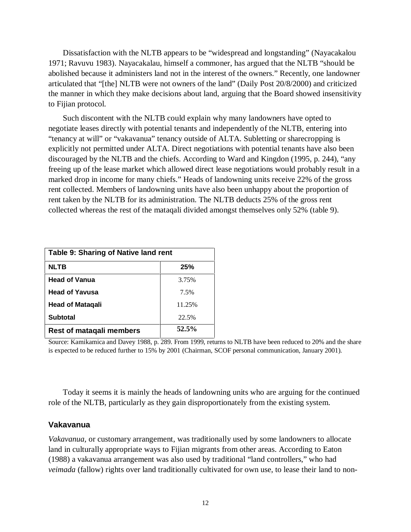Dissatisfaction with the NLTB appears to be "widespread and longstanding" (Nayacakalou 1971; Ravuvu 1983). Nayacakalau, himself a commoner, has argued that the NLTB "should be abolished because it administers land not in the interest of the owners." Recently, one landowner articulated that "[the] NLTB were not owners of the land" (Daily Post 20/8/2000) and criticized the manner in which they make decisions about land, arguing that the Board showed insensitivity to Fijian protocol.

Such discontent with the NLTB could explain why many landowners have opted to negotiate leases directly with potential tenants and independently of the NLTB, entering into "tenancy at will" or "vakavanua" tenancy outside of ALTA. Subletting or sharecropping is explicitly not permitted under ALTA. Direct negotiations with potential tenants have also been discouraged by the NLTB and the chiefs. According to Ward and Kingdon (1995, p. 244), "any freeing up of the lease market which allowed direct lease negotiations would probably result in a marked drop in income for many chiefs." Heads of landowning units receive 22% of the gross rent collected. Members of landowning units have also been unhappy about the proportion of rent taken by the NLTB for its administration. The NLTB deducts 25% of the gross rent collected whereas the rest of the mataqali divided amongst themselves only 52% (table 9).

| Table 9: Sharing of Native land rent |        |  |  |  |  |  |
|--------------------------------------|--------|--|--|--|--|--|
| <b>NLTB</b>                          | 25%    |  |  |  |  |  |
| <b>Head of Vanua</b>                 | 3.75%  |  |  |  |  |  |
| <b>Head of Yavusa</b>                | 7.5%   |  |  |  |  |  |
| <b>Head of Matagali</b>              | 11.25% |  |  |  |  |  |
| <b>Subtotal</b>                      | 22.5%  |  |  |  |  |  |
| <b>Rest of mataqali members</b>      | 52.5%  |  |  |  |  |  |

Source: Kamikamica and Davey 1988, p. 289. From 1999, returns to NLTB have been reduced to 20% and the share is expected to be reduced further to 15% by 2001 (Chairman, SCOF personal communication, January 2001).

Today it seems it is mainly the heads of landowning units who are arguing for the continued role of the NLTB, particularly as they gain disproportionately from the existing system.

### **Vakavanua**

*Vakavanua,* or customary arrangement, was traditionally used by some landowners to allocate land in culturally appropriate ways to Fijian migrants from other areas. According to Eaton (1988) a vakavanua arrangement was also used by traditional "land controllers," who had *veimada* (fallow) rights over land traditionally cultivated for own use, to lease their land to non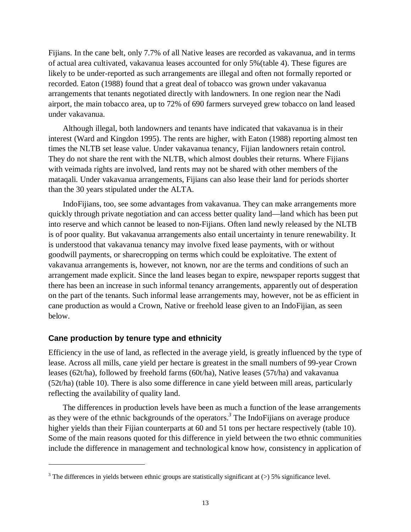Fijians. In the cane belt, only 7.7% of all Native leases are recorded as vakavanua, and in terms of actual area cultivated, vakavanua leases accounted for only 5%(table 4). These figures are likely to be under-reported as such arrangements are illegal and often not formally reported or recorded. Eaton (1988) found that a great deal of tobacco was grown under vakavanua arrangements that tenants negotiated directly with landowners. In one region near the Nadi airport, the main tobacco area, up to 72% of 690 farmers surveyed grew tobacco on land leased under vakavanua.

Although illegal, both landowners and tenants have indicated that vakavanua is in their interest (Ward and Kingdon 1995). The rents are higher, with Eaton (1988) reporting almost ten times the NLTB set lease value. Under vakavanua tenancy, Fijian landowners retain control. They do not share the rent with the NLTB, which almost doubles their returns. Where Fijians with veimada rights are involved, land rents may not be shared with other members of the mataqali. Under vakavanua arrangements, Fijians can also lease their land for periods shorter than the 30 years stipulated under the ALTA.

IndoFijians, too, see some advantages from vakavanua. They can make arrangements more quickly through private negotiation and can access better quality land—land which has been put into reserve and which cannot be leased to non-Fijians. Often land newly released by the NLTB is of poor quality. But vakavanua arrangements also entail uncertainty in tenure renewability. It is understood that vakavanua tenancy may involve fixed lease payments, with or without goodwill payments, or sharecropping on terms which could be exploitative. The extent of vakavanua arrangements is, however, not known, nor are the terms and conditions of such an arrangement made explicit. Since the land leases began to expire, newspaper reports suggest that there has been an increase in such informal tenancy arrangements, apparently out of desperation on the part of the tenants. Such informal lease arrangements may, however, not be as efficient in cane production as would a Crown, Native or freehold lease given to an IndoFijian, as seen below.

### **Cane production by tenure type and ethnicity**

Efficiency in the use of land, as reflected in the average yield, is greatly influenced by the type of lease. Across all mills, cane yield per hectare is greatest in the small numbers of 99-year Crown leases (62t/ha), followed by freehold farms (60t/ha), Native leases (57t/ha) and vakavanua (52t/ha) (table 10). There is also some difference in cane yield between mill areas, particularly reflecting the availability of quality land.

The differences in production levels have been as much a function of the lease arrangements as they were of the ethnic backgrounds of the operators.*<sup>3</sup>* The IndoFijians on average produce higher yields than their Fijian counterparts at 60 and 51 tons per hectare respectively (table 10). Some of the main reasons quoted for this difference in yield between the two ethnic communities include the difference in management and technological know how, consistency in application of

 $3$  The differences in yields between ethnic groups are statistically significant at  $(>)$  5% significance level.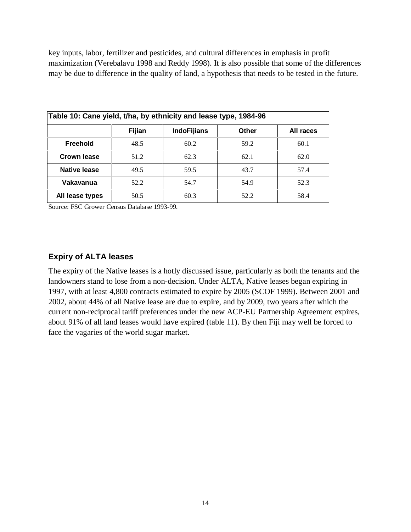key inputs, labor, fertilizer and pesticides, and cultural differences in emphasis in profit maximization (Verebalavu 1998 and Reddy 1998). It is also possible that some of the differences may be due to difference in the quality of land, a hypothesis that needs to be tested in the future.

| Table 10: Cane yield, t/ha, by ethnicity and lease type, 1984-96 |        |                    |              |           |  |  |  |
|------------------------------------------------------------------|--------|--------------------|--------------|-----------|--|--|--|
|                                                                  | Fijian | <b>IndoFijians</b> | <b>Other</b> | All races |  |  |  |
| Freehold                                                         | 48.5   | 60.2               | 59.2         | 60.1      |  |  |  |
| Crown lease                                                      | 51.2   | 62.3               | 62.1         | 62.0      |  |  |  |
| Native lease                                                     | 49.5   | 59.5               | 43.7         | 57.4      |  |  |  |
| Vakavanua                                                        | 52.2   | 54.7               | 54.9         | 52.3      |  |  |  |
| All lease types                                                  | 50.5   | 60.3               | 52.2         | 58.4      |  |  |  |

Source: FSC Grower Census Database 1993-99.

## **Expiry of ALTA leases**

The expiry of the Native leases is a hotly discussed issue, particularly as both the tenants and the landowners stand to lose from a non-decision. Under ALTA, Native leases began expiring in 1997, with at least 4,800 contracts estimated to expire by 2005 (SCOF 1999). Between 2001 and 2002, about 44% of all Native lease are due to expire, and by 2009, two years after which the current non-reciprocal tariff preferences under the new ACP-EU Partnership Agreement expires, about 91% of all land leases would have expired (table 11). By then Fiji may well be forced to face the vagaries of the world sugar market.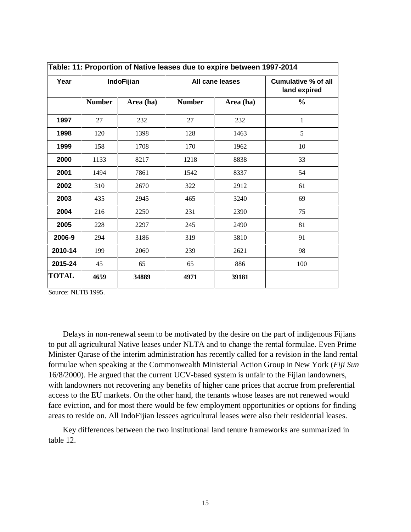|              | Table: 11: Proportion of Native leases due to expire between 1997-2014 |            |                 |           |                                            |  |
|--------------|------------------------------------------------------------------------|------------|-----------------|-----------|--------------------------------------------|--|
| Year         |                                                                        | IndoFijian | All cane leases |           | <b>Cumulative % of all</b><br>land expired |  |
|              | <b>Number</b>                                                          | Area (ha)  | <b>Number</b>   | Area (ha) | $\frac{0}{0}$                              |  |
| 1997         | 27                                                                     | 232        | 27              | 232       | 1                                          |  |
| 1998         | 120                                                                    | 1398       | 128             | 1463      | 5                                          |  |
| 1999         | 158                                                                    | 1708       | 170             | 1962      | 10                                         |  |
| 2000         | 1133                                                                   | 8217       | 1218            | 8838      | 33                                         |  |
| 2001         | 1494                                                                   | 7861       | 1542            | 8337      | 54                                         |  |
| 2002         | 310                                                                    | 2670       | 322             | 2912      | 61                                         |  |
| 2003         | 435                                                                    | 2945       | 465             | 3240      | 69                                         |  |
| 2004         | 216                                                                    | 2250       | 231             | 2390      | 75                                         |  |
| 2005         | 228                                                                    | 2297       | 245             | 2490      | 81                                         |  |
| 2006-9       | 294                                                                    | 3186       | 319             | 3810      | 91                                         |  |
| 2010-14      | 199                                                                    | 2060       | 239             | 2621      | 98                                         |  |
| 2015-24      | 45                                                                     | 65         | 65              | 886       | 100                                        |  |
| <b>TOTAL</b> | 4659                                                                   | 34889      | 4971            | 39181     |                                            |  |

Source: NLTB 1995.

Delays in non-renewal seem to be motivated by the desire on the part of indigenous Fijians to put all agricultural Native leases under NLTA and to change the rental formulae. Even Prime Minister Qarase of the interim administration has recently called for a revision in the land rental formulae when speaking at the Commonwealth Ministerial Action Group in New York (*Fiji Sun* 16/8/2000). He argued that the current UCV-based system is unfair to the Fijian landowners, with landowners not recovering any benefits of higher cane prices that accrue from preferential access to the EU markets. On the other hand, the tenants whose leases are not renewed would face eviction, and for most there would be few employment opportunities or options for finding areas to reside on. All IndoFijian lessees agricultural leases were also their residential leases.

Key differences between the two institutional land tenure frameworks are summarized in table 12.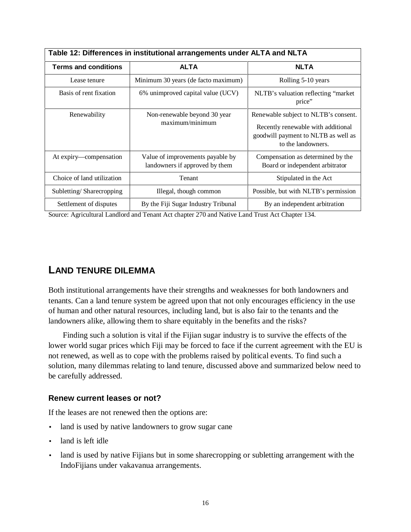| Table 12: Differences in institutional arrangements under ALTA and NLTA |                                                                    |                                                                                                                                         |  |  |  |
|-------------------------------------------------------------------------|--------------------------------------------------------------------|-----------------------------------------------------------------------------------------------------------------------------------------|--|--|--|
| <b>Terms and conditions</b>                                             | <b>ALTA</b>                                                        | <b>NLTA</b>                                                                                                                             |  |  |  |
| Lease tenure                                                            | Minimum 30 years (de facto maximum)                                | Rolling 5-10 years                                                                                                                      |  |  |  |
| Basis of rent fixation                                                  | 6% unimproved capital value (UCV)                                  | NLTB's valuation reflecting "market"<br>price"                                                                                          |  |  |  |
| Renewability                                                            | Non-renewable beyond 30 year<br>maximum/minimum                    | Renewable subject to NLTB's consent.<br>Recently renewable with additional<br>goodwill payment to NLTB as well as<br>to the landowners. |  |  |  |
| At expiry—compensation                                                  | Value of improvements payable by<br>landowners if approved by them | Compensation as determined by the<br>Board or independent arbitrator                                                                    |  |  |  |
| Choice of land utilization                                              | Tenant                                                             | Stipulated in the Act                                                                                                                   |  |  |  |
| Subletting/Sharecropping                                                | Illegal, though common                                             | Possible, but with NLTB's permission                                                                                                    |  |  |  |
| Settlement of disputes                                                  | By the Fiji Sugar Industry Tribunal                                | By an independent arbitration                                                                                                           |  |  |  |

Source: Agricultural Landlord and Tenant Act chapter 270 and Native Land Trust Act Chapter 134.

# **LAND TENURE DILEMMA**

Both institutional arrangements have their strengths and weaknesses for both landowners and tenants. Can a land tenure system be agreed upon that not only encourages efficiency in the use of human and other natural resources, including land, but is also fair to the tenants and the landowners alike, allowing them to share equitably in the benefits and the risks?

Finding such a solution is vital if the Fijian sugar industry is to survive the effects of the lower world sugar prices which Fiji may be forced to face if the current agreement with the EU is not renewed, as well as to cope with the problems raised by political events. To find such a solution, many dilemmas relating to land tenure, discussed above and summarized below need to be carefully addressed.

### **Renew current leases or not?**

If the leases are not renewed then the options are:

- land is used by native landowners to grow sugar cane
- land is left idle
- land is used by native Fijians but in some sharecropping or subletting arrangement with the IndoFijians under vakavanua arrangements.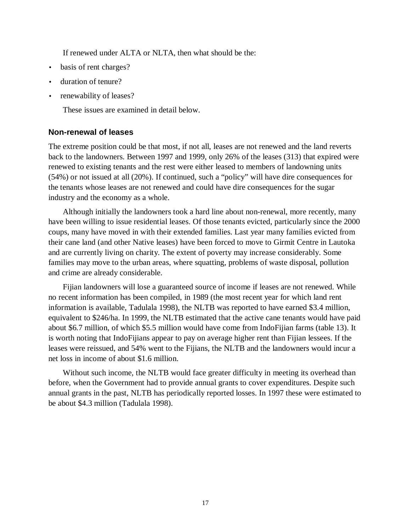If renewed under ALTA or NLTA, then what should be the:

- basis of rent charges?
- duration of tenure?
- renewability of leases?

These issues are examined in detail below.

### **Non-renewal of leases**

The extreme position could be that most, if not all, leases are not renewed and the land reverts back to the landowners. Between 1997 and 1999, only 26% of the leases (313) that expired were renewed to existing tenants and the rest were either leased to members of landowning units (54%) or not issued at all (20%). If continued, such a "policy" will have dire consequences for the tenants whose leases are not renewed and could have dire consequences for the sugar industry and the economy as a whole.

Although initially the landowners took a hard line about non-renewal, more recently, many have been willing to issue residential leases. Of those tenants evicted, particularly since the 2000 coups, many have moved in with their extended families. Last year many families evicted from their cane land (and other Native leases) have been forced to move to Girmit Centre in Lautoka and are currently living on charity. The extent of poverty may increase considerably. Some families may move to the urban areas, where squatting, problems of waste disposal, pollution and crime are already considerable.

Fijian landowners will lose a guaranteed source of income if leases are not renewed. While no recent information has been compiled, in 1989 (the most recent year for which land rent information is available, Tadulala 1998), the NLTB was reported to have earned \$3.4 million, equivalent to \$246/ha. In 1999, the NLTB estimated that the active cane tenants would have paid about \$6.7 million, of which \$5.5 million would have come from IndoFijian farms (table 13). It is worth noting that IndoFijians appear to pay on average higher rent than Fijian lessees. If the leases were reissued, and 54% went to the Fijians, the NLTB and the landowners would incur a net loss in income of about \$1.6 million.

Without such income, the NLTB would face greater difficulty in meeting its overhead than before, when the Government had to provide annual grants to cover expenditures. Despite such annual grants in the past, NLTB has periodically reported losses. In 1997 these were estimated to be about \$4.3 million (Tadulala 1998).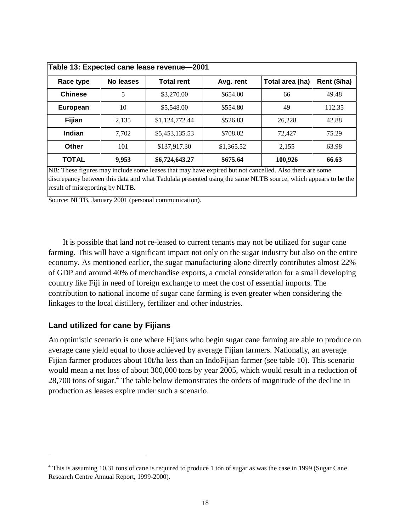| Table 13: Expected cane lease revenue-2001 |           |                   |            |                 |              |  |
|--------------------------------------------|-----------|-------------------|------------|-----------------|--------------|--|
| Race type                                  | No leases | <b>Total rent</b> | Avg. rent  | Total area (ha) | Rent (\$/ha) |  |
| <b>Chinese</b>                             | 5         | \$3,270.00        | \$654.00   | 66              | 49.48        |  |
| European                                   | 10        | \$5,548.00        | \$554.80   | 49              | 112.35       |  |
| Fijian                                     | 2.135     | \$1,124,772.44    | \$526.83   | 26,228          | 42.88        |  |
| Indian                                     | 7.702     | \$5,453,135.53    | \$708.02   | 72,427          | 75.29        |  |
| Other                                      | 101       | \$137,917.30      | \$1,365.52 | 2,155           | 63.98        |  |
| <b>TOTAL</b>                               | 9,953     | \$6,724,643.27    | \$675.64   | 100,926         | 66.63        |  |

NB: These figures may include some leases that may have expired but not cancelled. Also there are some discrepancy between this data and what Tadulala presented using the same NLTB source, which appears to be the result of misreporting by NLTB.

Source: NLTB, January 2001 (personal communication).

It is possible that land not re-leased to current tenants may not be utilized for sugar cane farming. This will have a significant impact not only on the sugar industry but also on the entire economy. As mentioned earlier, the sugar manufacturing alone directly contributes almost 22% of GDP and around 40% of merchandise exports, a crucial consideration for a small developing country like Fiji in need of foreign exchange to meet the cost of essential imports. The contribution to national income of sugar cane farming is even greater when considering the linkages to the local distillery, fertilizer and other industries.

### **Land utilized for cane by Fijians**

 $\overline{a}$ 

An optimistic scenario is one where Fijians who begin sugar cane farming are able to produce on average cane yield equal to those achieved by average Fijian farmers. Nationally, an average Fijian farmer produces about 10t/ha less than an IndoFijian farmer (see table 10). This scenario would mean a net loss of about 300,000 tons by year 2005, which would result in a reduction of 28,700 tons of sugar.<sup>4</sup> The table below demonstrates the orders of magnitude of the decline in production as leases expire under such a scenario.

<sup>&</sup>lt;sup>4</sup> This is assuming 10.31 tons of cane is required to produce 1 ton of sugar as was the case in 1999 (Sugar Cane Research Centre Annual Report, 1999-2000).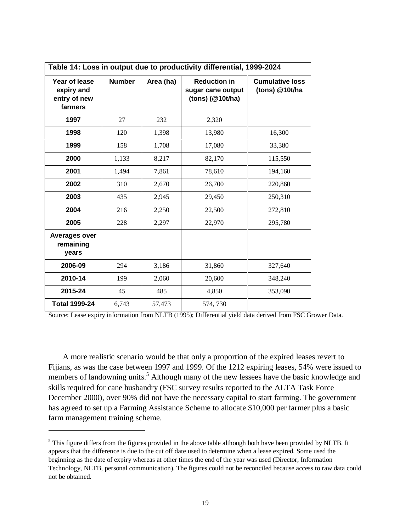| Table 14: Loss in output due to productivity differential, 1999-2024 |               |           |                                                                  |                                          |  |
|----------------------------------------------------------------------|---------------|-----------|------------------------------------------------------------------|------------------------------------------|--|
| Year of lease<br>expiry and<br>entry of new<br>farmers               | <b>Number</b> | Area (ha) | <b>Reduction in</b><br>sugar cane output<br>$(tons)$ $(@10t/ha)$ | <b>Cumulative loss</b><br>(tons) @10t/ha |  |
| 1997                                                                 | 27            | 232       | 2,320                                                            |                                          |  |
| 1998                                                                 | 120           | 1,398     | 13,980                                                           | 16,300                                   |  |
| 1999                                                                 | 158           | 1,708     | 17,080                                                           | 33,380                                   |  |
| 2000                                                                 | 1,133         | 8,217     | 82,170                                                           | 115,550                                  |  |
| 2001                                                                 | 1,494         | 7,861     | 78,610                                                           | 194,160                                  |  |
| 2002                                                                 | 310           | 2,670     | 26,700                                                           | 220,860                                  |  |
| 2003                                                                 | 435           | 2,945     | 29,450                                                           | 250,310                                  |  |
| 2004                                                                 | 216           | 2,250     | 22,500                                                           | 272,810                                  |  |
| 2005                                                                 | 228           | 2,297     | 22,970                                                           | 295,780                                  |  |
| <b>Averages over</b><br>remaining<br>years                           |               |           |                                                                  |                                          |  |
| 2006-09                                                              | 294           | 3,186     | 31,860                                                           | 327,640                                  |  |
| 2010-14                                                              | 199           | 2,060     | 20,600                                                           | 348,240                                  |  |
| 2015-24                                                              | 45            | 485       | 4,850                                                            | 353,090                                  |  |
| <b>Total 1999-24</b>                                                 | 6,743         | 57,473    | 574, 730                                                         |                                          |  |

Source: Lease expiry information from NLTB (1995); Differential yield data derived from FSC Grower Data.

A more realistic scenario would be that only a proportion of the expired leases revert to Fijians, as was the case between 1997 and 1999. Of the 1212 expiring leases, 54% were issued to members of landowning units.<sup>5</sup> Although many of the new lessees have the basic knowledge and skills required for cane husbandry (FSC survey results reported to the ALTA Task Force December 2000), over 90% did not have the necessary capital to start farming. The government has agreed to set up a Farming Assistance Scheme to allocate \$10,000 per farmer plus a basic farm management training scheme.

 $\overline{a}$ 

 $<sup>5</sup>$  This figure differs from the figures provided in the above table although both have been provided by NLTB. It</sup> appears that the difference is due to the cut off date used to determine when a lease expired. Some used the beginning as the date of expiry whereas at other times the end of the year was used (Director, Information Technology, NLTB, personal communication). The figures could not be reconciled because access to raw data could not be obtained.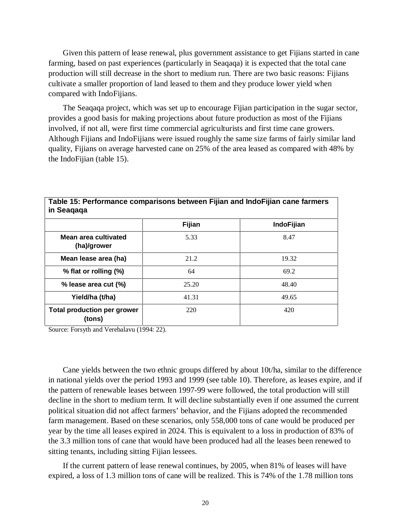Given this pattern of lease renewal, plus government assistance to get Fijians started in cane farming, based on past experiences (particularly in Seaqaqa) it is expected that the total cane production will still decrease in the short to medium run. There are two basic reasons: Fijians cultivate a smaller proportion of land leased to them and they produce lower yield when compared with IndoFijians.

The Seaqaqa project, which was set up to encourage Fijian participation in the sugar sector, provides a good basis for making projections about future production as most of the Fijians involved, if not all, were first time commercial agriculturists and first time cane growers. Although Fijians and IndoFijians were issued roughly the same size farms of fairly similar land quality, Fijians on average harvested cane on 25% of the area leased as compared with 48% by the IndoFijian (table 15).

|                                              | Fijian | IndoFijian |
|----------------------------------------------|--------|------------|
| Mean area cultivated<br>(ha)/grower          | 5.33   | 8.47       |
| Mean lease area (ha)                         | 21.2   | 19.32      |
| % flat or rolling (%)                        | 64     | 69.2       |
| % lease area cut (%)                         | 25.20  | 48.40      |
| Yield/ha (t/ha)                              | 41.31  | 49.65      |
| <b>Total production per grower</b><br>(tons) | 220    | 420        |

**Table 15: Performance comparisons between Fijian and IndoFijian cane farmers**

Source: Forsyth and Verebalavu (1994: 22).

Cane yields between the two ethnic groups differed by about 10t/ha, similar to the difference in national yields over the period 1993 and 1999 (see table 10). Therefore, as leases expire, and if the pattern of renewable leases between 1997-99 were followed, the total production will still decline in the short to medium term. It will decline substantially even if one assumed the current political situation did not affect farmers' behavior, and the Fijians adopted the recommended farm management. Based on these scenarios, only 558,000 tons of cane would be produced per year by the time all leases expired in 2024. This is equivalent to a loss in production of 83% of the 3.3 million tons of cane that would have been produced had all the leases been renewed to sitting tenants, including sitting Fijian lessees.

If the current pattern of lease renewal continues, by 2005, when 81% of leases will have expired, a loss of 1.3 million tons of cane will be realized. This is 74% of the 1.78 million tons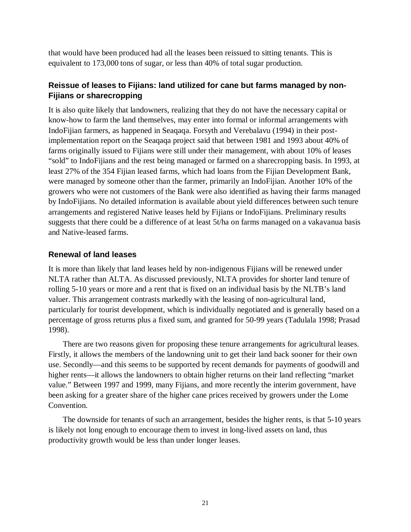that would have been produced had all the leases been reissued to sitting tenants. This is equivalent to 173,000 tons of sugar, or less than 40% of total sugar production.

# **Reissue of leases to Fijians: land utilized for cane but farms managed by non-Fijians or sharecropping**

It is also quite likely that landowners, realizing that they do not have the necessary capital or know-how to farm the land themselves, may enter into formal or informal arrangements with IndoFijian farmers, as happened in Seaqaqa. Forsyth and Verebalavu (1994) in their postimplementation report on the Seaqaqa project said that between 1981 and 1993 about 40% of farms originally issued to Fijians were still under their management, with about 10% of leases "sold" to IndoFijians and the rest being managed or farmed on a sharecropping basis. In 1993, at least 27% of the 354 Fijian leased farms, which had loans from the Fijian Development Bank, were managed by someone other than the farmer, primarily an IndoFijian. Another 10% of the growers who were not customers of the Bank were also identified as having their farms managed by IndoFijians. No detailed information is available about yield differences between such tenure arrangements and registered Native leases held by Fijians or IndoFijians. Preliminary results suggests that there could be a difference of at least 5t/ha on farms managed on a vakavanua basis and Native-leased farms.

## **Renewal of land leases**

It is more than likely that land leases held by non-indigenous Fijians will be renewed under NLTA rather than ALTA. As discussed previously, NLTA provides for shorter land tenure of rolling 5-10 years or more and a rent that is fixed on an individual basis by the NLTB's land valuer. This arrangement contrasts markedly with the leasing of non-agricultural land, particularly for tourist development, which is individually negotiated and is generally based on a percentage of gross returns plus a fixed sum, and granted for 50-99 years (Tadulala 1998; Prasad 1998).

There are two reasons given for proposing these tenure arrangements for agricultural leases. Firstly, it allows the members of the landowning unit to get their land back sooner for their own use. Secondly—and this seems to be supported by recent demands for payments of goodwill and higher rents—it allows the landowners to obtain higher returns on their land reflecting "market value." Between 1997 and 1999, many Fijians, and more recently the interim government, have been asking for a greater share of the higher cane prices received by growers under the Lome Convention.

The downside for tenants of such an arrangement, besides the higher rents, is that 5-10 years is likely not long enough to encourage them to invest in long-lived assets on land, thus productivity growth would be less than under longer leases.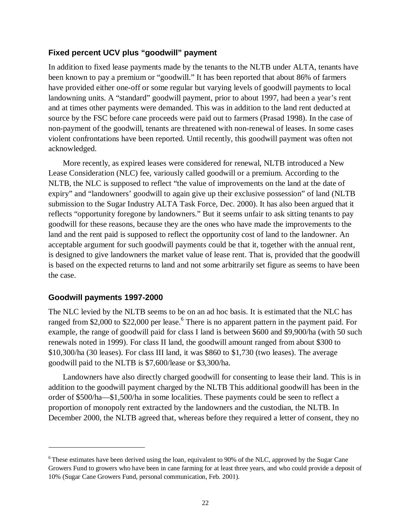### **Fixed percent UCV plus "goodwill" payment**

In addition to fixed lease payments made by the tenants to the NLTB under ALTA, tenants have been known to pay a premium or "goodwill." It has been reported that about 86% of farmers have provided either one-off or some regular but varying levels of goodwill payments to local landowning units. A "standard" goodwill payment, prior to about 1997, had been a year's rent and at times other payments were demanded. This was in addition to the land rent deducted at source by the FSC before cane proceeds were paid out to farmers (Prasad 1998). In the case of non-payment of the goodwill, tenants are threatened with non-renewal of leases. In some cases violent confrontations have been reported. Until recently, this goodwill payment was often not acknowledged.

More recently, as expired leases were considered for renewal, NLTB introduced a New Lease Consideration (NLC) fee, variously called goodwill or a premium. According to the NLTB, the NLC is supposed to reflect "the value of improvements on the land at the date of expiry" and "landowners' goodwill to again give up their exclusive possession" of land (NLTB submission to the Sugar Industry ALTA Task Force, Dec. 2000). It has also been argued that it reflects "opportunity foregone by landowners." But it seems unfair to ask sitting tenants to pay goodwill for these reasons, because they are the ones who have made the improvements to the land and the rent paid is supposed to reflect the opportunity cost of land to the landowner. An acceptable argument for such goodwill payments could be that it, together with the annual rent, is designed to give landowners the market value of lease rent. That is, provided that the goodwill is based on the expected returns to land and not some arbitrarily set figure as seems to have been the case.

### **Goodwill payments 1997-2000**

 $\overline{a}$ 

The NLC levied by the NLTB seems to be on an ad hoc basis. It is estimated that the NLC has ranged from \$2,000 to \$22,000 per lease.<sup>6</sup> There is no apparent pattern in the payment paid. For example, the range of goodwill paid for class I land is between \$600 and \$9,900/ha (with 50 such renewals noted in 1999). For class II land, the goodwill amount ranged from about \$300 to \$10,300/ha (30 leases). For class III land, it was \$860 to \$1,730 (two leases). The average goodwill paid to the NLTB is \$7,600/lease or \$3,300/ha.

Landowners have also directly charged goodwill for consenting to lease their land. This is in addition to the goodwill payment charged by the NLTB This additional goodwill has been in the order of \$500/ha—\$1,500/ha in some localities. These payments could be seen to reflect a proportion of monopoly rent extracted by the landowners and the custodian, the NLTB. In December 2000, the NLTB agreed that, whereas before they required a letter of consent, they no

<sup>&</sup>lt;sup>6</sup> These estimates have been derived using the loan, equivalent to 90% of the NLC, approved by the Sugar Cane Growers Fund to growers who have been in cane farming for at least three years, and who could provide a deposit of 10% (Sugar Cane Growers Fund, personal communication, Feb. 2001).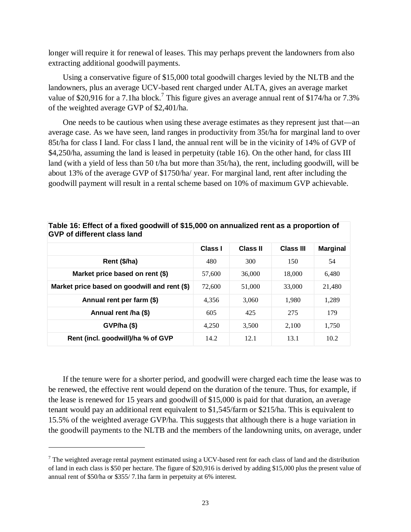longer will require it for renewal of leases. This may perhaps prevent the landowners from also extracting additional goodwill payments.

Using a conservative figure of \$15,000 total goodwill charges levied by the NLTB and the landowners, plus an average UCV-based rent charged under ALTA, gives an average market value of \$20,916 for a 7.1ha block.<sup>7</sup> This figure gives an average annual rent of \$174/ha or 7.3% of the weighted average GVP of \$2,401/ha.

One needs to be cautious when using these average estimates as they represent just that—an average case. As we have seen, land ranges in productivity from 35t/ha for marginal land to over 85t/ha for class I land. For class I land, the annual rent will be in the vicinity of 14% of GVP of \$4,250/ha, assuming the land is leased in perpetuity (table 16). On the other hand, for class III land (with a yield of less than 50 t/ha but more than 35t/ha), the rent, including goodwill, will be about 13% of the average GVP of \$1750/ha/ year. For marginal land, rent after including the goodwill payment will result in a rental scheme based on 10% of maximum GVP achievable.

|                                              | Class I | <b>Class II</b> | <b>Class III</b> | <b>Marginal</b> |
|----------------------------------------------|---------|-----------------|------------------|-----------------|
| Rent (\$/ha)                                 | 480     | 300             | 150              | 54              |
| Market price based on rent (\$)              | 57,600  | 36,000          | 18,000           | 6,480           |
| Market price based on goodwill and rent (\$) | 72,600  | 51,000          | 33,000           | 21,480          |
| Annual rent per farm (\$)                    | 4.356   | 3,060           | 1.980            | 1,289           |
| Annual rent /ha (\$)                         | 605     | 425             | 275              | 179             |
| $GVP/ha$ (\$)                                | 4,250   | 3,500           | 2.100            | 1,750           |
| Rent (incl. goodwill)/ha % of GVP            | 14.2    | 12.1            | 13.1             | 10.2            |

**Table 16: Effect of a fixed goodwill of \$15,000 on annualized rent as a proportion of GVP of different class land**

If the tenure were for a shorter period, and goodwill were charged each time the lease was to be renewed, the effective rent would depend on the duration of the tenure. Thus, for example, if the lease is renewed for 15 years and goodwill of \$15,000 is paid for that duration, an average tenant would pay an additional rent equivalent to \$1,545/farm or \$215/ha. This is equivalent to 15.5% of the weighted average GVP/ha. This suggests that although there is a huge variation in the goodwill payments to the NLTB and the members of the landowning units, on average, under

 $\overline{a}$ 

 $<sup>7</sup>$  The weighted average rental payment estimated using a UCV-based rent for each class of land and the distribution</sup> of land in each class is \$50 per hectare. The figure of \$20,916 is derived by adding \$15,000 plus the present value of annual rent of \$50/ha or \$355/ 7.1ha farm in perpetuity at 6% interest.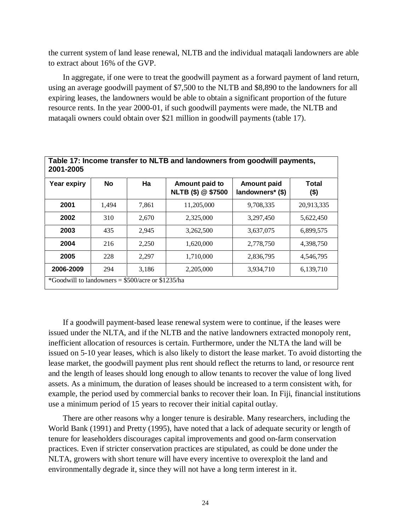the current system of land lease renewal, NLTB and the individual mataqali landowners are able to extract about 16% of the GVP.

In aggregate, if one were to treat the goodwill payment as a forward payment of land return, using an average goodwill payment of \$7,500 to the NLTB and \$8,890 to the landowners for all expiring leases, the landowners would be able to obtain a significant proportion of the future resource rents. In the year 2000-01, if such goodwill payments were made, the NLTB and mataqali owners could obtain over \$21 million in goodwill payments (table 17).

| Year expiry | <b>No</b> | Ha    | Amount paid to     | <b>Amount paid</b> | Total      |
|-------------|-----------|-------|--------------------|--------------------|------------|
|             |           |       | NLTB (\$) @ \$7500 | landowners* (\$)   | (\$)       |
| 2001        | 1,494     | 7,861 | 11,205,000         | 9,708,335          | 20,913,335 |
| 2002        | 310       | 2,670 | 2,325,000          | 3,297,450          | 5,622,450  |
| 2003        | 435       | 2,945 | 3,262,500          | 3.637.075          | 6,899,575  |
| 2004        | 216       | 2,250 | 1.620.000          | 2,778,750          | 4,398,750  |
| 2005        | 228       | 2,297 | 1,710,000          | 2,836,795          | 4,546,795  |
| 2006-2009   | 294       | 3,186 | 2,205,000          | 3,934,710          | 6,139,710  |

If a goodwill payment-based lease renewal system were to continue, if the leases were issued under the NLTA, and if the NLTB and the native landowners extracted monopoly rent, inefficient allocation of resources is certain. Furthermore, under the NLTA the land will be issued on 5-10 year leases, which is also likely to distort the lease market. To avoid distorting the lease market, the goodwill payment plus rent should reflect the returns to land, or resource rent and the length of leases should long enough to allow tenants to recover the value of long lived assets. As a minimum, the duration of leases should be increased to a term consistent with, for example, the period used by commercial banks to recover their loan. In Fiji, financial institutions use a minimum period of 15 years to recover their initial capital outlay.

There are other reasons why a longer tenure is desirable. Many researchers, including the World Bank (1991) and Pretty (1995), have noted that a lack of adequate security or length of tenure for leaseholders discourages capital improvements and good on-farm conservation practices. Even if stricter conservation practices are stipulated, as could be done under the NLTA, growers with short tenure will have every incentive to overexploit the land and environmentally degrade it, since they will not have a long term interest in it.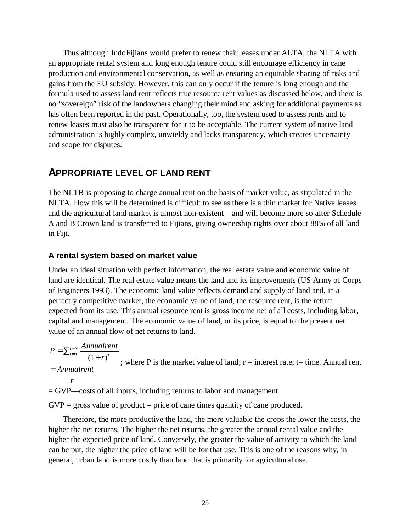Thus although IndoFijians would prefer to renew their leases under ALTA, the NLTA with an appropriate rental system and long enough tenure could still encourage efficiency in cane production and environmental conservation, as well as ensuring an equitable sharing of risks and gains from the EU subsidy. However, this can only occur if the tenure is long enough and the formula used to assess land rent reflects true resource rent values as discussed below, and there is no "sovereign" risk of the landowners changing their mind and asking for additional payments as has often been reported in the past. Operationally, too, the system used to assess rents and to renew leases must also be transparent for it to be acceptable. The current system of native land administration is highly complex, unwieldy and lacks transparency, which creates uncertainty and scope for disputes.

# **APPROPRIATE LEVEL OF LAND RENT**

The NLTB is proposing to charge annual rent on the basis of market value, as stipulated in the NLTA. How this will be determined is difficult to see as there is a thin market for Native leases and the agricultural land market is almost non-existent—and will become more so after Schedule A and B Crown land is transferred to Fijians, giving ownership rights over about 88% of all land in Fiji.

### **A rental system based on market value**

Under an ideal situation with perfect information, the real estate value and economic value of land are identical. The real estate value means the land and its improvements (US Army of Corps of Engineers 1993). The economic land value reflects demand and supply of land and, in a perfectly competitive market, the economic value of land, the resource rent, is the return expected from its use. This annual resource rent is gross income net of all costs, including labor, capital and management. The economic value of land, or its price, is equal to the present net value of an annual flow of net returns to land.

*r Annualrent*  $P = \sum_{t=a}^{t=\infty} \frac{Annualrent}{(1+r)^t}$  $t = a$ =  $=\sum_{t=a}^{t=\infty} \frac{Armuutiter}{(1+r)^t}$ ; where P is the market value of land; r = interest rate; t= time. Annual rent

= GVP—costs of all inputs, including returns to labor and management

 $GVP =$  gross value of product = price of cane times quantity of cane produced.

Therefore, the more productive the land, the more valuable the crops the lower the costs, the higher the net returns. The higher the net returns, the greater the annual rental value and the higher the expected price of land. Conversely, the greater the value of activity to which the land can be put, the higher the price of land will be for that use. This is one of the reasons why, in general, urban land is more costly than land that is primarily for agricultural use.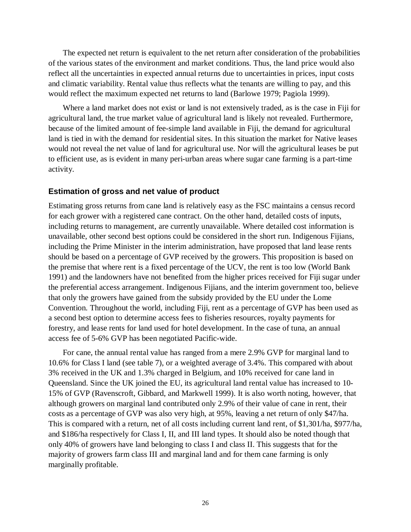The expected net return is equivalent to the net return after consideration of the probabilities of the various states of the environment and market conditions. Thus, the land price would also reflect all the uncertainties in expected annual returns due to uncertainties in prices, input costs and climatic variability. Rental value thus reflects what the tenants are willing to pay, and this would reflect the maximum expected net returns to land (Barlowe 1979; Pagiola 1999).

Where a land market does not exist or land is not extensively traded, as is the case in Fiji for agricultural land, the true market value of agricultural land is likely not revealed. Furthermore, because of the limited amount of fee-simple land available in Fiji, the demand for agricultural land is tied in with the demand for residential sites. In this situation the market for Native leases would not reveal the net value of land for agricultural use. Nor will the agricultural leases be put to efficient use, as is evident in many peri-urban areas where sugar cane farming is a part-time activity.

#### **Estimation of gross and net value of product**

Estimating gross returns from cane land is relatively easy as the FSC maintains a census record for each grower with a registered cane contract. On the other hand, detailed costs of inputs, including returns to management, are currently unavailable. Where detailed cost information is unavailable, other second best options could be considered in the short run. Indigenous Fijians, including the Prime Minister in the interim administration, have proposed that land lease rents should be based on a percentage of GVP received by the growers. This proposition is based on the premise that where rent is a fixed percentage of the UCV, the rent is too low (World Bank 1991) and the landowners have not benefited from the higher prices received for Fiji sugar under the preferential access arrangement. Indigenous Fijians, and the interim government too, believe that only the growers have gained from the subsidy provided by the EU under the Lome Convention. Throughout the world, including Fiji, rent as a percentage of GVP has been used as a second best option to determine access fees to fisheries resources, royalty payments for forestry, and lease rents for land used for hotel development. In the case of tuna, an annual access fee of 5-6% GVP has been negotiated Pacific-wide.

For cane, the annual rental value has ranged from a mere 2.9% GVP for marginal land to 10.6% for Class I land (see table 7), or a weighted average of 3.4%. This compared with about 3% received in the UK and 1.3% charged in Belgium, and 10% received for cane land in Queensland. Since the UK joined the EU, its agricultural land rental value has increased to 10- 15% of GVP (Ravenscroft, Gibbard, and Markwell 1999). It is also worth noting, however, that although growers on marginal land contributed only 2.9% of their value of cane in rent, their costs as a percentage of GVP was also very high, at 95%, leaving a net return of only \$47/ha. This is compared with a return, net of all costs including current land rent, of \$1,301/ha, \$977/ha, and \$186/ha respectively for Class I, II, and III land types. It should also be noted though that only 40% of growers have land belonging to class I and class II. This suggests that for the majority of growers farm class III and marginal land and for them cane farming is only marginally profitable.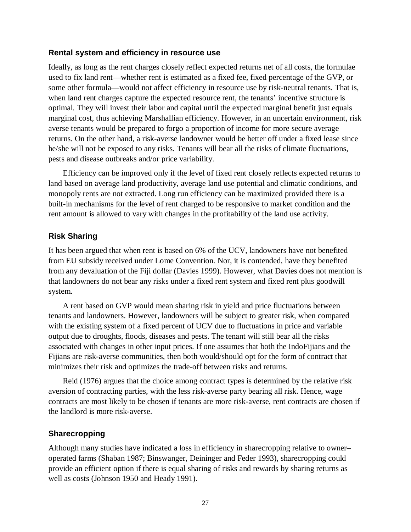### **Rental system and efficiency in resource use**

Ideally, as long as the rent charges closely reflect expected returns net of all costs, the formulae used to fix land rent—whether rent is estimated as a fixed fee, fixed percentage of the GVP, or some other formula—would not affect efficiency in resource use by risk-neutral tenants. That is, when land rent charges capture the expected resource rent, the tenants' incentive structure is optimal. They will invest their labor and capital until the expected marginal benefit just equals marginal cost, thus achieving Marshallian efficiency. However, in an uncertain environment, risk averse tenants would be prepared to forgo a proportion of income for more secure average returns. On the other hand, a risk-averse landowner would be better off under a fixed lease since he/she will not be exposed to any risks. Tenants will bear all the risks of climate fluctuations, pests and disease outbreaks and/or price variability.

Efficiency can be improved only if the level of fixed rent closely reflects expected returns to land based on average land productivity, average land use potential and climatic conditions, and monopoly rents are not extracted. Long run efficiency can be maximized provided there is a built-in mechanisms for the level of rent charged to be responsive to market condition and the rent amount is allowed to vary with changes in the profitability of the land use activity.

### **Risk Sharing**

It has been argued that when rent is based on 6% of the UCV, landowners have not benefited from EU subsidy received under Lome Convention. Nor, it is contended, have they benefited from any devaluation of the Fiji dollar (Davies 1999). However, what Davies does not mention is that landowners do not bear any risks under a fixed rent system and fixed rent plus goodwill system.

A rent based on GVP would mean sharing risk in yield and price fluctuations between tenants and landowners. However, landowners will be subject to greater risk, when compared with the existing system of a fixed percent of UCV due to fluctuations in price and variable output due to droughts, floods, diseases and pests. The tenant will still bear all the risks associated with changes in other input prices. If one assumes that both the IndoFijians and the Fijians are risk-averse communities, then both would/should opt for the form of contract that minimizes their risk and optimizes the trade-off between risks and returns.

Reid (1976) argues that the choice among contract types is determined by the relative risk aversion of contracting parties, with the less risk-averse party bearing all risk. Hence, wage contracts are most likely to be chosen if tenants are more risk-averse, rent contracts are chosen if the landlord is more risk-averse.

# **Sharecropping**

Although many studies have indicated a loss in efficiency in sharecropping relative to owner– operated farms (Shaban 1987; Binswanger, Deininger and Feder 1993), sharecropping could provide an efficient option if there is equal sharing of risks and rewards by sharing returns as well as costs (Johnson 1950 and Heady 1991).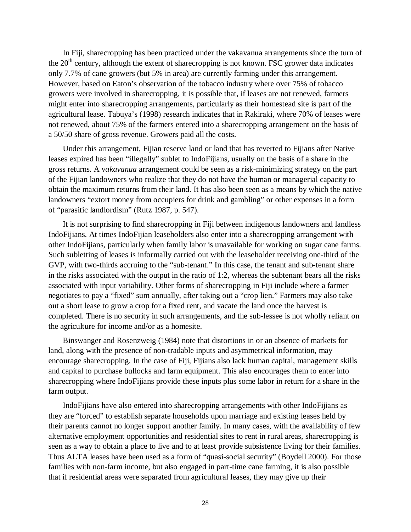In Fiji, sharecropping has been practiced under the vakavanua arrangements since the turn of the  $20<sup>th</sup>$  century, although the extent of sharecropping is not known. FSC grower data indicates only 7.7% of cane growers (but 5% in area) are currently farming under this arrangement. However, based on Eaton's observation of the tobacco industry where over 75% of tobacco growers were involved in sharecropping, it is possible that, if leases are not renewed, farmers might enter into sharecropping arrangements, particularly as their homestead site is part of the agricultural lease. Tabuya's (1998) research indicates that in Rakiraki, where 70% of leases were not renewed, about 75% of the farmers entered into a sharecropping arrangement on the basis of a 50/50 share of gross revenue. Growers paid all the costs.

Under this arrangement, Fijian reserve land or land that has reverted to Fijians after Native leases expired has been "illegally" sublet to IndoFijians, usually on the basis of a share in the gross returns. A v*akavanua* arrangement could be seen as a risk-minimizing strategy on the part of the Fijian landowners who realize that they do not have the human or managerial capacity to obtain the maximum returns from their land. It has also been seen as a means by which the native landowners "extort money from occupiers for drink and gambling" or other expenses in a form of "parasitic landlordism" (Rutz 1987, p. 547).

It is not surprising to find sharecropping in Fiji between indigenous landowners and landless IndoFijians. At times IndoFijian leaseholders also enter into a sharecropping arrangement with other IndoFijians, particularly when family labor is unavailable for working on sugar cane farms. Such subletting of leases is informally carried out with the leaseholder receiving one-third of the GVP, with two-thirds accruing to the "sub-tenant." In this case, the tenant and sub-tenant share in the risks associated with the output in the ratio of 1:2, whereas the subtenant bears all the risks associated with input variability. Other forms of sharecropping in Fiji include where a farmer negotiates to pay a "fixed" sum annually, after taking out a "crop lien." Farmers may also take out a short lease to grow a crop for a fixed rent, and vacate the land once the harvest is completed. There is no security in such arrangements, and the sub-lessee is not wholly reliant on the agriculture for income and/or as a homesite.

Binswanger and Rosenzweig (1984) note that distortions in or an absence of markets for land, along with the presence of non-tradable inputs and asymmetrical information, may encourage sharecropping. In the case of Fiji, Fijians also lack human capital, management skills and capital to purchase bullocks and farm equipment. This also encourages them to enter into sharecropping where IndoFijians provide these inputs plus some labor in return for a share in the farm output.

IndoFijians have also entered into sharecropping arrangements with other IndoFijians as they are "forced" to establish separate households upon marriage and existing leases held by their parents cannot no longer support another family. In many cases, with the availability of few alternative employment opportunities and residential sites to rent in rural areas, sharecropping is seen as a way to obtain a place to live and to at least provide subsistence living for their families. Thus ALTA leases have been used as a form of "quasi-social security" (Boydell 2000). For those families with non-farm income, but also engaged in part-time cane farming, it is also possible that if residential areas were separated from agricultural leases, they may give up their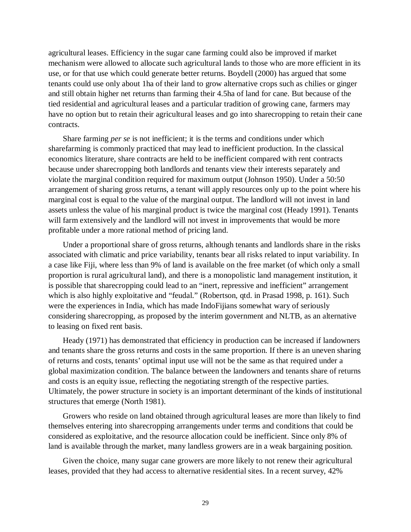agricultural leases. Efficiency in the sugar cane farming could also be improved if market mechanism were allowed to allocate such agricultural lands to those who are more efficient in its use, or for that use which could generate better returns. Boydell (2000) has argued that some tenants could use only about 1ha of their land to grow alternative crops such as chilies or ginger and still obtain higher net returns than farming their 4.5ha of land for cane. But because of the tied residential and agricultural leases and a particular tradition of growing cane, farmers may have no option but to retain their agricultural leases and go into sharecropping to retain their cane contracts.

Share farming *per se* is not inefficient; it is the terms and conditions under which sharefarming is commonly practiced that may lead to inefficient production. In the classical economics literature, share contracts are held to be inefficient compared with rent contracts because under sharecropping both landlords and tenants view their interests separately and violate the marginal condition required for maximum output (Johnson 1950). Under a 50:50 arrangement of sharing gross returns, a tenant will apply resources only up to the point where his marginal cost is equal to the value of the marginal output. The landlord will not invest in land assets unless the value of his marginal product is twice the marginal cost (Heady 1991). Tenants will farm extensively and the landlord will not invest in improvements that would be more profitable under a more rational method of pricing land.

Under a proportional share of gross returns, although tenants and landlords share in the risks associated with climatic and price variability, tenants bear all risks related to input variability. In a case like Fiji, where less than 9% of land is available on the free market (of which only a small proportion is rural agricultural land), and there is a monopolistic land management institution, it is possible that sharecropping could lead to an "inert, repressive and inefficient" arrangement which is also highly exploitative and "feudal." (Robertson, qtd. in Prasad 1998, p. 161). Such were the experiences in India, which has made IndoFijians somewhat wary of seriously considering sharecropping, as proposed by the interim government and NLTB, as an alternative to leasing on fixed rent basis.

Heady (1971) has demonstrated that efficiency in production can be increased if landowners and tenants share the gross returns and costs in the same proportion. If there is an uneven sharing of returns and costs, tenants' optimal input use will not be the same as that required under a global maximization condition. The balance between the landowners and tenants share of returns and costs is an equity issue, reflecting the negotiating strength of the respective parties. Ultimately, the power structure in society is an important determinant of the kinds of institutional structures that emerge (North 1981).

Growers who reside on land obtained through agricultural leases are more than likely to find themselves entering into sharecropping arrangements under terms and conditions that could be considered as exploitative, and the resource allocation could be inefficient. Since only 8% of land is available through the market, many landless growers are in a weak bargaining position.

Given the choice, many sugar cane growers are more likely to not renew their agricultural leases, provided that they had access to alternative residential sites. In a recent survey, 42%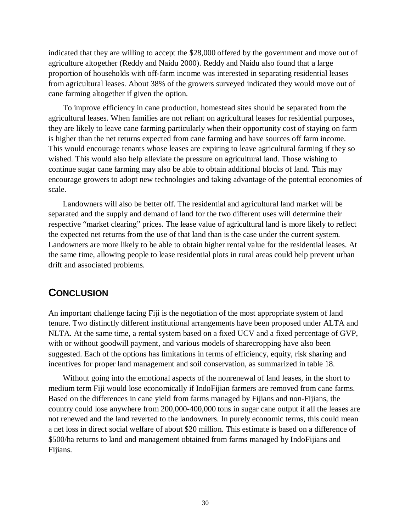indicated that they are willing to accept the \$28,000 offered by the government and move out of agriculture altogether (Reddy and Naidu 2000). Reddy and Naidu also found that a large proportion of households with off-farm income was interested in separating residential leases from agricultural leases. About 38% of the growers surveyed indicated they would move out of cane farming altogether if given the option.

To improve efficiency in cane production, homestead sites should be separated from the agricultural leases. When families are not reliant on agricultural leases for residential purposes, they are likely to leave cane farming particularly when their opportunity cost of staying on farm is higher than the net returns expected from cane farming and have sources off farm income. This would encourage tenants whose leases are expiring to leave agricultural farming if they so wished. This would also help alleviate the pressure on agricultural land. Those wishing to continue sugar cane farming may also be able to obtain additional blocks of land. This may encourage growers to adopt new technologies and taking advantage of the potential economies of scale.

Landowners will also be better off. The residential and agricultural land market will be separated and the supply and demand of land for the two different uses will determine their respective "market clearing" prices. The lease value of agricultural land is more likely to reflect the expected net returns from the use of that land than is the case under the current system. Landowners are more likely to be able to obtain higher rental value for the residential leases. At the same time, allowing people to lease residential plots in rural areas could help prevent urban drift and associated problems.

# **CONCLUSION**

An important challenge facing Fiji is the negotiation of the most appropriate system of land tenure. Two distinctly different institutional arrangements have been proposed under ALTA and NLTA. At the same time, a rental system based on a fixed UCV and a fixed percentage of GVP, with or without goodwill payment, and various models of sharecropping have also been suggested. Each of the options has limitations in terms of efficiency, equity, risk sharing and incentives for proper land management and soil conservation, as summarized in table 18.

Without going into the emotional aspects of the nonrenewal of land leases, in the short to medium term Fiji would lose economically if IndoFijian farmers are removed from cane farms. Based on the differences in cane yield from farms managed by Fijians and non-Fijians, the country could lose anywhere from 200,000-400,000 tons in sugar cane output if all the leases are not renewed and the land reverted to the landowners. In purely economic terms, this could mean a net loss in direct social welfare of about \$20 million. This estimate is based on a difference of \$500/ha returns to land and management obtained from farms managed by IndoFijians and Fijians.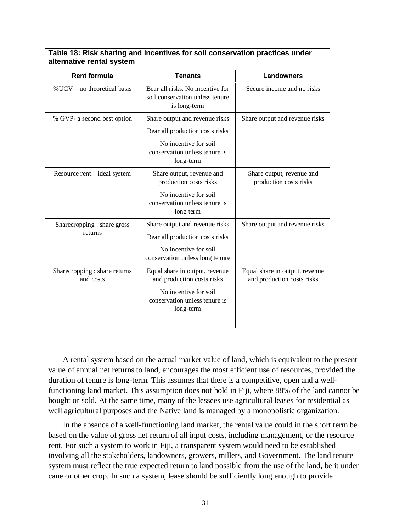| <b>Rent formula</b>                        | <b>Tenants</b>                                                                                                                      | <b>Landowners</b>                                            |  |
|--------------------------------------------|-------------------------------------------------------------------------------------------------------------------------------------|--------------------------------------------------------------|--|
| % UCV-no theoretical basis                 | Bear all risks. No incentive for<br>soil conservation unless tenure<br>is long-term                                                 | Secure income and no risks                                   |  |
| % GVP- a second best option                | Share output and revenue risks<br>Bear all production costs risks<br>No incentive for soil<br>conservation unless tenure is         | Share output and revenue risks                               |  |
| Resource rent-ideal system                 | long-term<br>Share output, revenue and<br>production costs risks                                                                    | Share output, revenue and<br>production costs risks          |  |
|                                            | No incentive for soil<br>conservation unless tenure is<br>long term                                                                 |                                                              |  |
| Sharecropping : share gross<br>returns     | Share output and revenue risks<br>Bear all production costs risks<br>No incentive for soil<br>conservation unless long tenure       | Share output and revenue risks                               |  |
| Sharecropping : share returns<br>and costs | Equal share in output, revenue<br>and production costs risks<br>No incentive for soil<br>conservation unless tenure is<br>long-term | Equal share in output, revenue<br>and production costs risks |  |

**Table 18: Risk sharing and incentives for soil conservation practices under**

A rental system based on the actual market value of land, which is equivalent to the present value of annual net returns to land, encourages the most efficient use of resources, provided the duration of tenure is long-term. This assumes that there is a competitive, open and a wellfunctioning land market. This assumption does not hold in Fiji, where 88% of the land cannot be bought or sold. At the same time, many of the lessees use agricultural leases for residential as well agricultural purposes and the Native land is managed by a monopolistic organization.

In the absence of a well-functioning land market, the rental value could in the short term be based on the value of gross net return of all input costs, including management, or the resource rent. For such a system to work in Fiji, a transparent system would need to be established involving all the stakeholders, landowners, growers, millers, and Government. The land tenure system must reflect the true expected return to land possible from the use of the land, be it under cane or other crop. In such a system, lease should be sufficiently long enough to provide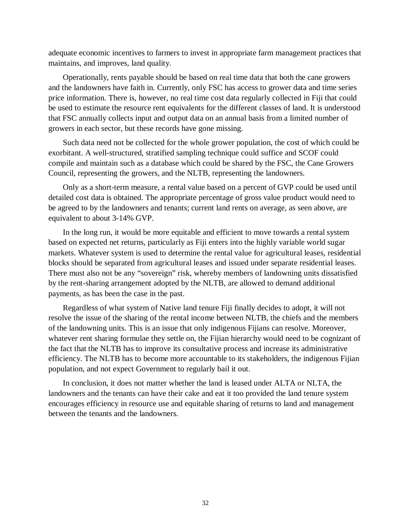adequate economic incentives to farmers to invest in appropriate farm management practices that maintains, and improves, land quality.

Operationally, rents payable should be based on real time data that both the cane growers and the landowners have faith in. Currently, only FSC has access to grower data and time series price information. There is, however, no real time cost data regularly collected in Fiji that could be used to estimate the resource rent equivalents for the different classes of land. It is understood that FSC annually collects input and output data on an annual basis from a limited number of growers in each sector, but these records have gone missing.

Such data need not be collected for the whole grower population, the cost of which could be exorbitant. A well-structured, stratified sampling technique could suffice and SCOF could compile and maintain such as a database which could be shared by the FSC, the Cane Growers Council, representing the growers, and the NLTB, representing the landowners.

Only as a short-term measure, a rental value based on a percent of GVP could be used until detailed cost data is obtained. The appropriate percentage of gross value product would need to be agreed to by the landowners and tenants; current land rents on average, as seen above, are equivalent to about 3-14% GVP.

In the long run, it would be more equitable and efficient to move towards a rental system based on expected net returns, particularly as Fiji enters into the highly variable world sugar markets. Whatever system is used to determine the rental value for agricultural leases, residential blocks should be separated from agricultural leases and issued under separate residential leases. There must also not be any "sovereign" risk, whereby members of landowning units dissatisfied by the rent-sharing arrangement adopted by the NLTB, are allowed to demand additional payments, as has been the case in the past.

Regardless of what system of Native land tenure Fiji finally decides to adopt, it will not resolve the issue of the sharing of the rental income between NLTB, the chiefs and the members of the landowning units. This is an issue that only indigenous Fijians can resolve. Moreover, whatever rent sharing formulae they settle on, the Fijian hierarchy would need to be cognizant of the fact that the NLTB has to improve its consultative process and increase its administrative efficiency. The NLTB has to become more accountable to its stakeholders, the indigenous Fijian population, and not expect Government to regularly bail it out.

In conclusion, it does not matter whether the land is leased under ALTA or NLTA, the landowners and the tenants can have their cake and eat it too provided the land tenure system encourages efficiency in resource use and equitable sharing of returns to land and management between the tenants and the landowners.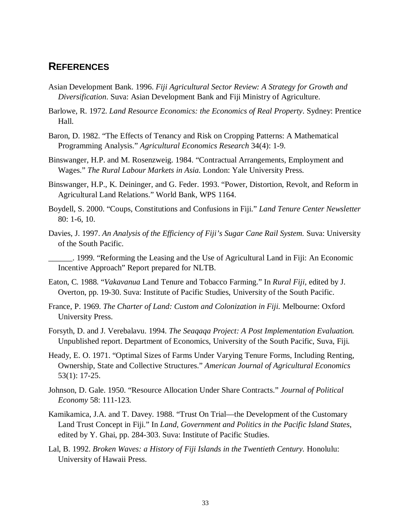# **REFERENCES**

- Asian Development Bank. 1996. *Fiji Agricultural Sector Review: A Strategy for Growth and Diversification*. Suva: Asian Development Bank and Fiji Ministry of Agriculture.
- Barlowe, R. 1972. *Land Resource Economics: the Economics of Real Property*. Sydney: Prentice Hall.
- Baron, D. 1982. "The Effects of Tenancy and Risk on Cropping Patterns: A Mathematical Programming Analysis." *Agricultural Economics Research* 34(4): 1-9.
- Binswanger, H.P. and M. Rosenzweig. 1984. "Contractual Arrangements, Employment and Wages." *The Rural Labour Markets in Asia.* London: Yale University Press.
- Binswanger, H.P., K. Deininger, and G. Feder. 1993. "Power, Distortion, Revolt, and Reform in Agricultural Land Relations." World Bank, WPS 1164.
- Boydell, S. 2000. "Coups, Constitutions and Confusions in Fiji." *Land Tenure Center Newsletter* 80: 1-6, 10.
- Davies, J. 1997. *An Analysis of the Efficiency of Fiji's Sugar Cane Rail System.* Suva: University of the South Pacific.

\_\_\_\_\_\_. 1999. "Reforming the Leasing and the Use of Agricultural Land in Fiji: An Economic Incentive Approach" Report prepared for NLTB.

- Eaton, C. 1988. "*Vakavanua* Land Tenure and Tobacco Farming." In *Rural Fiji*, edited by J. Overton, pp. 19-30. Suva: Institute of Pacific Studies, University of the South Pacific.
- France, P. 1969. *The Charter of Land: Custom and Colonization in Fiji.* Melbourne: Oxford University Press.
- Forsyth, D. and J. Verebalavu. 1994. *The Seaqaqa Project: A Post Implementation Evaluation.* Unpublished report. Department of Economics, University of the South Pacific, Suva, Fiji.
- Heady, E. O. 1971. "Optimal Sizes of Farms Under Varying Tenure Forms, Including Renting, Ownership, State and Collective Structures." *American Journal of Agricultural Economics* 53(1): 17-25.
- Johnson, D. Gale. 1950. "Resource Allocation Under Share Contracts." *Journal of Political Economy* 58: 111-123.
- Kamikamica, J.A. and T. Davey. 1988. "Trust On Trial—the Development of the Customary Land Trust Concept in Fiji." In *Land, Government and Politics in the Pacific Island States*, edited by Y. Ghai, pp. 284-303. Suva: Institute of Pacific Studies.
- Lal, B. 1992. *Broken Waves: a History of Fiji Islands in the Twentieth Century.* Honolulu: University of Hawaii Press.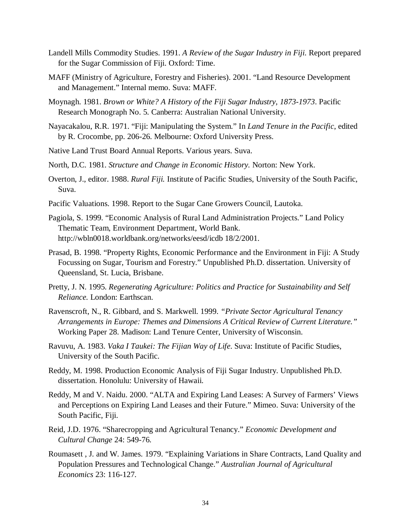- Landell Mills Commodity Studies. 1991. *A Review of the Sugar Industry in Fiji.* Report prepared for the Sugar Commission of Fiji. Oxford: Time.
- MAFF (Ministry of Agriculture, Forestry and Fisheries). 2001. "Land Resource Development and Management." Internal memo. Suva: MAFF.
- Moynagh. 1981. *Brown or White? A History of the Fiji Sugar Industry, 1873-1973*. Pacific Research Monograph No. 5. Canberra: Australian National University.
- Nayacakalou, R.R. 1971. "Fiji: Manipulating the System." In *Land Tenure in the Pacific*, edited by R. Crocombe, pp. 206-26. Melbourne: Oxford University Press.
- Native Land Trust Board Annual Reports. Various years. Suva.
- North, D.C. 1981. *Structure and Change in Economic History.* Norton: New York.
- Overton, J., editor. 1988. *Rural Fiji.* Institute of Pacific Studies, University of the South Pacific, Suva.
- Pacific Valuations. 1998. Report to the Sugar Cane Growers Council, Lautoka.
- Pagiola, S. 1999. "Economic Analysis of Rural Land Administration Projects." Land Policy Thematic Team, Environment Department, World Bank. http://wbln0018.worldbank.org/networks/eesd/icdb 18/2/2001.
- Prasad, B. 1998. "Property Rights, Economic Performance and the Environment in Fiji: A Study Focussing on Sugar, Tourism and Forestry." Unpublished Ph.D. dissertation. University of Queensland, St. Lucia, Brisbane.
- Pretty, J. N. 1995. *Regenerating Agriculture: Politics and Practice for Sustainability and Self Reliance.* London: Earthscan.
- Ravenscroft, N., R. Gibbard, and S. Markwell. 1999. *"Private Sector Agricultural Tenancy Arrangements in Europe: Themes and Dimensions A Critical Review of Current Literature."* Working Paper 28. Madison: Land Tenure Center, University of Wisconsin.
- Ravuvu, A. 1983. *Vaka I Taukei: The Fijian Way of Life*. Suva: Institute of Pacific Studies, University of the South Pacific.
- Reddy, M. 1998. Production Economic Analysis of Fiji Sugar Industry. Unpublished Ph.D. dissertation. Honolulu: University of Hawaii.
- Reddy, M and V. Naidu. 2000. "ALTA and Expiring Land Leases: A Survey of Farmers' Views and Perceptions on Expiring Land Leases and their Future." Mimeo. Suva: University of the South Pacific, Fiji.
- Reid, J.D. 1976. "Sharecropping and Agricultural Tenancy." *Economic Development and Cultural Change* 24: 549-76.
- Roumasett , J. and W. James. 1979. "Explaining Variations in Share Contracts, Land Quality and Population Pressures and Technological Change." *Australian Journal of Agricultural Economics* 23: 116-127.